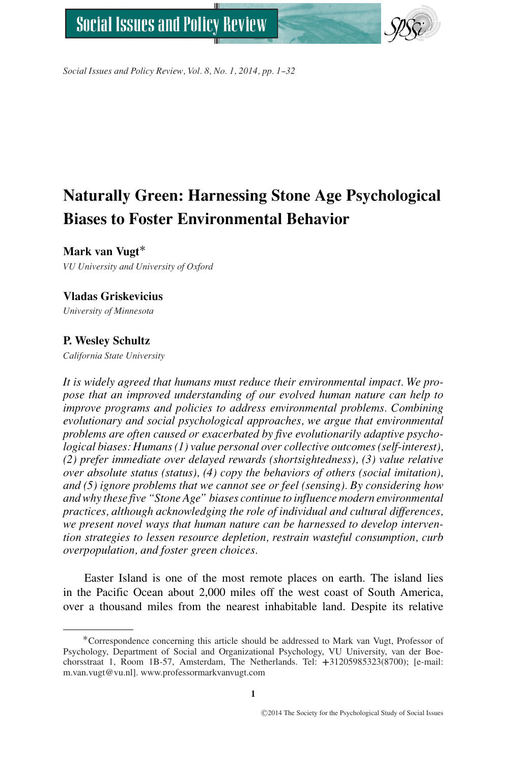*Social Issues and Policy Review, Vol. 8, No. 1, 2014, pp. 1--32*

# **Naturally Green: Harnessing Stone Age Psychological Biases to Foster Environmental Behavior**

**Mark van Vugt**∗

*VU University and University of Oxford*

# **Vladas Griskevicius**

*University of Minnesota*

# **P. Wesley Schultz**

*California State University*

*It is widely agreed that humans must reduce their environmental impact. We propose that an improved understanding of our evolved human nature can help to improve programs and policies to address environmental problems. Combining evolutionary and social psychological approaches, we argue that environmental problems are often caused or exacerbated by five evolutionarily adaptive psychological biases: Humans (1) value personal over collective outcomes (self-interest), (2) prefer immediate over delayed rewards (shortsightedness), (3) value relative over absolute status (status), (4) copy the behaviors of others (social imitation), and (5) ignore problems that we cannot see or feel (sensing). By considering how and why these five "Stone Age" biases continue to influence modern environmental practices, although acknowledging the role of individual and cultural differences, we present novel ways that human nature can be harnessed to develop intervention strategies to lessen resource depletion, restrain wasteful consumption, curb overpopulation, and foster green choices.*

Easter Island is one of the most remote places on earth. The island lies in the Pacific Ocean about 2,000 miles off the west coast of South America, over a thousand miles from the nearest inhabitable land. Despite its relative

<sup>∗</sup>Correspondence concerning this article should be addressed to Mark van Vugt, Professor of Psychology, Department of Social and Organizational Psychology, VU University, van der Boechorsstraat 1, Room 1B-57, Amsterdam, The Netherlands. Tel: **+**31205985323(8700); [e-mail: m.van.vugt@vu.nl]. www.professormarkvanvugt.com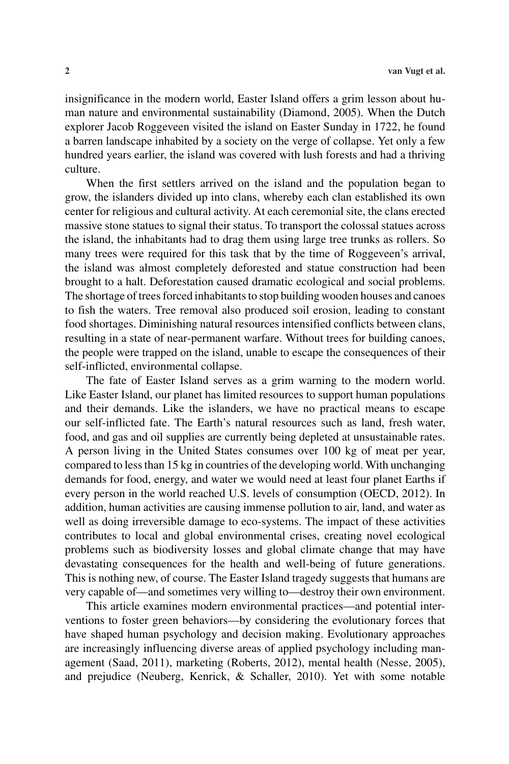insignificance in the modern world, Easter Island offers a grim lesson about human nature and environmental sustainability (Diamond, 2005). When the Dutch explorer Jacob Roggeveen visited the island on Easter Sunday in 1722, he found a barren landscape inhabited by a society on the verge of collapse. Yet only a few hundred years earlier, the island was covered with lush forests and had a thriving culture.

When the first settlers arrived on the island and the population began to grow, the islanders divided up into clans, whereby each clan established its own center for religious and cultural activity. At each ceremonial site, the clans erected massive stone statues to signal their status. To transport the colossal statues across the island, the inhabitants had to drag them using large tree trunks as rollers. So many trees were required for this task that by the time of Roggeveen's arrival, the island was almost completely deforested and statue construction had been brought to a halt. Deforestation caused dramatic ecological and social problems. The shortage of trees forced inhabitants to stop building wooden houses and canoes to fish the waters. Tree removal also produced soil erosion, leading to constant food shortages. Diminishing natural resources intensified conflicts between clans, resulting in a state of near-permanent warfare. Without trees for building canoes, the people were trapped on the island, unable to escape the consequences of their self-inflicted, environmental collapse.

The fate of Easter Island serves as a grim warning to the modern world. Like Easter Island, our planet has limited resources to support human populations and their demands. Like the islanders, we have no practical means to escape our self-inflicted fate. The Earth's natural resources such as land, fresh water, food, and gas and oil supplies are currently being depleted at unsustainable rates. A person living in the United States consumes over 100 kg of meat per year, compared to less than 15 kg in countries of the developing world. With unchanging demands for food, energy, and water we would need at least four planet Earths if every person in the world reached U.S. levels of consumption (OECD, 2012). In addition, human activities are causing immense pollution to air, land, and water as well as doing irreversible damage to eco-systems. The impact of these activities contributes to local and global environmental crises, creating novel ecological problems such as biodiversity losses and global climate change that may have devastating consequences for the health and well-being of future generations. This is nothing new, of course. The Easter Island tragedy suggests that humans are very capable of—and sometimes very willing to—destroy their own environment.

This article examines modern environmental practices—and potential interventions to foster green behaviors—by considering the evolutionary forces that have shaped human psychology and decision making. Evolutionary approaches are increasingly influencing diverse areas of applied psychology including management (Saad, 2011), marketing (Roberts, 2012), mental health (Nesse, 2005), and prejudice (Neuberg, Kenrick, & Schaller, 2010). Yet with some notable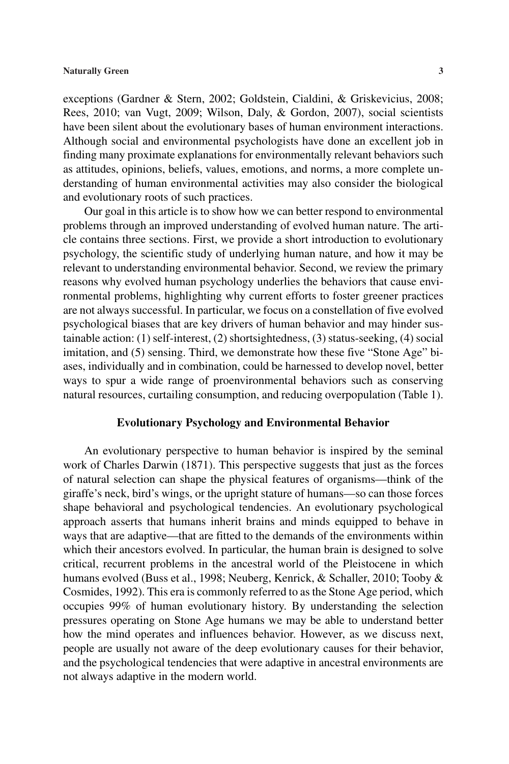exceptions (Gardner & Stern, 2002; Goldstein, Cialdini, & Griskevicius, 2008; Rees, 2010; van Vugt, 2009; Wilson, Daly, & Gordon, 2007), social scientists have been silent about the evolutionary bases of human environment interactions. Although social and environmental psychologists have done an excellent job in finding many proximate explanations for environmentally relevant behaviors such as attitudes, opinions, beliefs, values, emotions, and norms, a more complete understanding of human environmental activities may also consider the biological and evolutionary roots of such practices.

Our goal in this article is to show how we can better respond to environmental problems through an improved understanding of evolved human nature. The article contains three sections. First, we provide a short introduction to evolutionary psychology, the scientific study of underlying human nature, and how it may be relevant to understanding environmental behavior. Second, we review the primary reasons why evolved human psychology underlies the behaviors that cause environmental problems, highlighting why current efforts to foster greener practices are not always successful. In particular, we focus on a constellation of five evolved psychological biases that are key drivers of human behavior and may hinder sustainable action: (1) self-interest, (2) shortsightedness, (3) status-seeking, (4) social imitation, and (5) sensing. Third, we demonstrate how these five "Stone Age" biases, individually and in combination, could be harnessed to develop novel, better ways to spur a wide range of proenvironmental behaviors such as conserving natural resources, curtailing consumption, and reducing overpopulation (Table 1).

## **Evolutionary Psychology and Environmental Behavior**

An evolutionary perspective to human behavior is inspired by the seminal work of Charles Darwin (1871). This perspective suggests that just as the forces of natural selection can shape the physical features of organisms—think of the giraffe's neck, bird's wings, or the upright stature of humans—so can those forces shape behavioral and psychological tendencies. An evolutionary psychological approach asserts that humans inherit brains and minds equipped to behave in ways that are adaptive—that are fitted to the demands of the environments within which their ancestors evolved. In particular, the human brain is designed to solve critical, recurrent problems in the ancestral world of the Pleistocene in which humans evolved (Buss et al., 1998; Neuberg, Kenrick, & Schaller, 2010; Tooby & Cosmides, 1992). This era is commonly referred to as the Stone Age period, which occupies 99% of human evolutionary history. By understanding the selection pressures operating on Stone Age humans we may be able to understand better how the mind operates and influences behavior. However, as we discuss next, people are usually not aware of the deep evolutionary causes for their behavior, and the psychological tendencies that were adaptive in ancestral environments are not always adaptive in the modern world.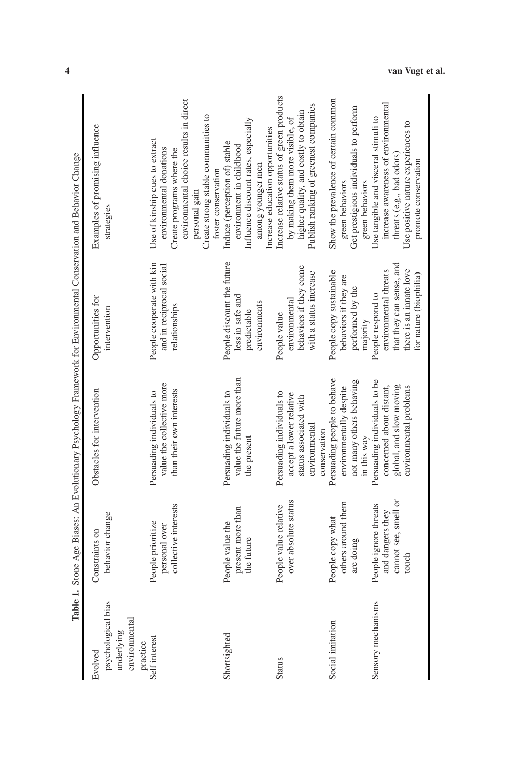|                                                                          |                                                                            | lable 1. Stone Age Biases: An Evolutionary Psychology Framework for Environmental Conservation and Behavior Change |                                                                                                                             |                                                                                                                                                                                                                 |
|--------------------------------------------------------------------------|----------------------------------------------------------------------------|--------------------------------------------------------------------------------------------------------------------|-----------------------------------------------------------------------------------------------------------------------------|-----------------------------------------------------------------------------------------------------------------------------------------------------------------------------------------------------------------|
| psychological bias<br>environmental<br>underlying<br>practice<br>Evolved | behavior change<br>Constraints on                                          | Obstacles for intervention                                                                                         | Opportunities for<br>intervention                                                                                           | Examples of promising influence<br>strategies                                                                                                                                                                   |
| Self interest                                                            | collective interests<br>People prioritize<br>personal over                 | value the collective more<br>Persuading individuals to<br>than their own interests                                 | People cooperate with kin<br>and in reciprocal social<br>relationships                                                      | environmental choice results in direct<br>Create strong stable communities to<br>Use of kinship cues to extract<br>environmental donations<br>Create programs where the<br>foster conservation<br>personal gain |
| Shortsighted                                                             | present more than<br>People value the<br>the future                        | value the future more than<br>Persuading individuals to<br>the present                                             | People discount the future<br>less in safe and<br>environments<br>predictable                                               | Influence discount rates, especially<br>Increase education opportunities<br>Induce (perception of) stable<br>environment in childhood<br>among younger men                                                      |
| <b>Status</b>                                                            | over absolute status<br>People value relative                              | Persuading individuals to<br>accept a lower relative<br>status associated with<br>environmental<br>conservation    | behaviors if they come<br>with a status increase<br>environmental<br>People value                                           | Increase relative status of green products<br>Publish ranking of greenest companies<br>higher quality, and costly to obtain<br>by making them more visible, of                                                  |
| Social imitation                                                         | others around them<br>People copy what<br>are doing                        | Persuading people to behave<br>not many others behaving<br>environmentally despite<br>in this way                  | People copy sustainable<br>behaviors if they are<br>performed by the<br>majority                                            | Show the prevalence of certain common<br>Get prestigious individuals to perform<br>green behaviors<br>green behaviors                                                                                           |
| Sensory mechanisms                                                       | cannot see, smell or<br>People ignore threats<br>and dangers they<br>touch | Persuading individuals to be<br>global, and slow moving<br>concerned about distant,<br>environmental problems      | that they can sense, and<br>there is an innate love<br>environmental threats<br>for nature (biophilia)<br>People respond to | increase awareness of environmental<br>Use tangible and visceral stimuli to<br>Use positive nature experiences to<br>threats (e.g., bad odors)<br>promote conservation                                          |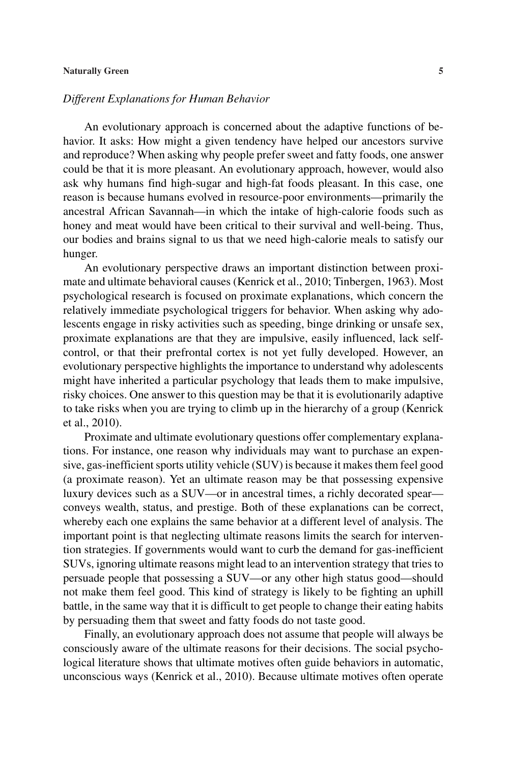# *Different Explanations for Human Behavior*

An evolutionary approach is concerned about the adaptive functions of behavior. It asks: How might a given tendency have helped our ancestors survive and reproduce? When asking why people prefer sweet and fatty foods, one answer could be that it is more pleasant. An evolutionary approach, however, would also ask why humans find high-sugar and high-fat foods pleasant. In this case, one reason is because humans evolved in resource-poor environments—primarily the ancestral African Savannah—in which the intake of high-calorie foods such as honey and meat would have been critical to their survival and well-being. Thus, our bodies and brains signal to us that we need high-calorie meals to satisfy our hunger.

An evolutionary perspective draws an important distinction between proximate and ultimate behavioral causes (Kenrick et al., 2010; Tinbergen, 1963). Most psychological research is focused on proximate explanations, which concern the relatively immediate psychological triggers for behavior. When asking why adolescents engage in risky activities such as speeding, binge drinking or unsafe sex, proximate explanations are that they are impulsive, easily influenced, lack selfcontrol, or that their prefrontal cortex is not yet fully developed. However, an evolutionary perspective highlights the importance to understand why adolescents might have inherited a particular psychology that leads them to make impulsive, risky choices. One answer to this question may be that it is evolutionarily adaptive to take risks when you are trying to climb up in the hierarchy of a group (Kenrick et al., 2010).

Proximate and ultimate evolutionary questions offer complementary explanations. For instance, one reason why individuals may want to purchase an expensive, gas-inefficient sports utility vehicle (SUV) is because it makes them feel good (a proximate reason). Yet an ultimate reason may be that possessing expensive luxury devices such as a SUV—or in ancestral times, a richly decorated spear conveys wealth, status, and prestige. Both of these explanations can be correct, whereby each one explains the same behavior at a different level of analysis. The important point is that neglecting ultimate reasons limits the search for intervention strategies. If governments would want to curb the demand for gas-inefficient SUVs, ignoring ultimate reasons might lead to an intervention strategy that tries to persuade people that possessing a SUV—or any other high status good—should not make them feel good. This kind of strategy is likely to be fighting an uphill battle, in the same way that it is difficult to get people to change their eating habits by persuading them that sweet and fatty foods do not taste good.

Finally, an evolutionary approach does not assume that people will always be consciously aware of the ultimate reasons for their decisions. The social psychological literature shows that ultimate motives often guide behaviors in automatic, unconscious ways (Kenrick et al., 2010). Because ultimate motives often operate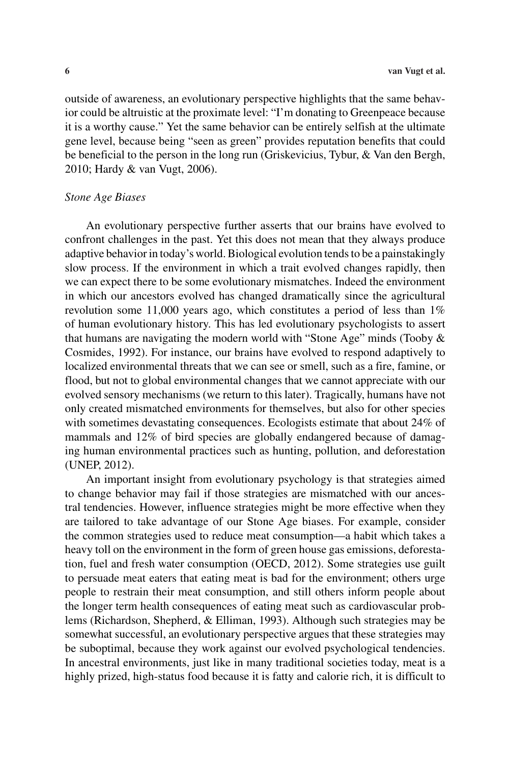outside of awareness, an evolutionary perspective highlights that the same behavior could be altruistic at the proximate level: "I'm donating to Greenpeace because it is a worthy cause." Yet the same behavior can be entirely selfish at the ultimate gene level, because being "seen as green" provides reputation benefits that could be beneficial to the person in the long run (Griskevicius, Tybur, & Van den Bergh, 2010; Hardy & van Vugt, 2006).

## *Stone Age Biases*

An evolutionary perspective further asserts that our brains have evolved to confront challenges in the past. Yet this does not mean that they always produce adaptive behavior in today's world. Biological evolution tends to be a painstakingly slow process. If the environment in which a trait evolved changes rapidly, then we can expect there to be some evolutionary mismatches. Indeed the environment in which our ancestors evolved has changed dramatically since the agricultural revolution some 11,000 years ago, which constitutes a period of less than 1% of human evolutionary history. This has led evolutionary psychologists to assert that humans are navigating the modern world with "Stone Age" minds (Tooby  $\&$ Cosmides, 1992). For instance, our brains have evolved to respond adaptively to localized environmental threats that we can see or smell, such as a fire, famine, or flood, but not to global environmental changes that we cannot appreciate with our evolved sensory mechanisms (we return to this later). Tragically, humans have not only created mismatched environments for themselves, but also for other species with sometimes devastating consequences. Ecologists estimate that about 24% of mammals and 12% of bird species are globally endangered because of damaging human environmental practices such as hunting, pollution, and deforestation (UNEP, 2012).

An important insight from evolutionary psychology is that strategies aimed to change behavior may fail if those strategies are mismatched with our ancestral tendencies. However, influence strategies might be more effective when they are tailored to take advantage of our Stone Age biases. For example, consider the common strategies used to reduce meat consumption—a habit which takes a heavy toll on the environment in the form of green house gas emissions, deforestation, fuel and fresh water consumption (OECD, 2012). Some strategies use guilt to persuade meat eaters that eating meat is bad for the environment; others urge people to restrain their meat consumption, and still others inform people about the longer term health consequences of eating meat such as cardiovascular problems (Richardson, Shepherd, & Elliman, 1993). Although such strategies may be somewhat successful, an evolutionary perspective argues that these strategies may be suboptimal, because they work against our evolved psychological tendencies. In ancestral environments, just like in many traditional societies today, meat is a highly prized, high-status food because it is fatty and calorie rich, it is difficult to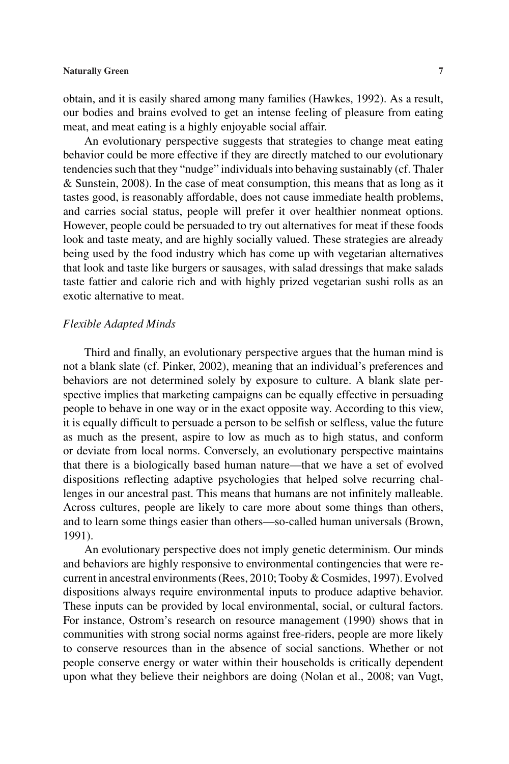obtain, and it is easily shared among many families (Hawkes, 1992). As a result, our bodies and brains evolved to get an intense feeling of pleasure from eating meat, and meat eating is a highly enjoyable social affair.

An evolutionary perspective suggests that strategies to change meat eating behavior could be more effective if they are directly matched to our evolutionary tendencies such that they "nudge" individuals into behaving sustainably (cf. Thaler & Sunstein, 2008). In the case of meat consumption, this means that as long as it tastes good, is reasonably affordable, does not cause immediate health problems, and carries social status, people will prefer it over healthier nonmeat options. However, people could be persuaded to try out alternatives for meat if these foods look and taste meaty, and are highly socially valued. These strategies are already being used by the food industry which has come up with vegetarian alternatives that look and taste like burgers or sausages, with salad dressings that make salads taste fattier and calorie rich and with highly prized vegetarian sushi rolls as an exotic alternative to meat.

## *Flexible Adapted Minds*

Third and finally, an evolutionary perspective argues that the human mind is not a blank slate (cf. Pinker, 2002), meaning that an individual's preferences and behaviors are not determined solely by exposure to culture. A blank slate perspective implies that marketing campaigns can be equally effective in persuading people to behave in one way or in the exact opposite way. According to this view, it is equally difficult to persuade a person to be selfish or selfless, value the future as much as the present, aspire to low as much as to high status, and conform or deviate from local norms. Conversely, an evolutionary perspective maintains that there is a biologically based human nature—that we have a set of evolved dispositions reflecting adaptive psychologies that helped solve recurring challenges in our ancestral past. This means that humans are not infinitely malleable. Across cultures, people are likely to care more about some things than others, and to learn some things easier than others—so-called human universals (Brown, 1991).

An evolutionary perspective does not imply genetic determinism. Our minds and behaviors are highly responsive to environmental contingencies that were recurrent in ancestral environments (Rees, 2010; Tooby & Cosmides, 1997). Evolved dispositions always require environmental inputs to produce adaptive behavior. These inputs can be provided by local environmental, social, or cultural factors. For instance, Ostrom's research on resource management (1990) shows that in communities with strong social norms against free-riders, people are more likely to conserve resources than in the absence of social sanctions. Whether or not people conserve energy or water within their households is critically dependent upon what they believe their neighbors are doing (Nolan et al., 2008; van Vugt,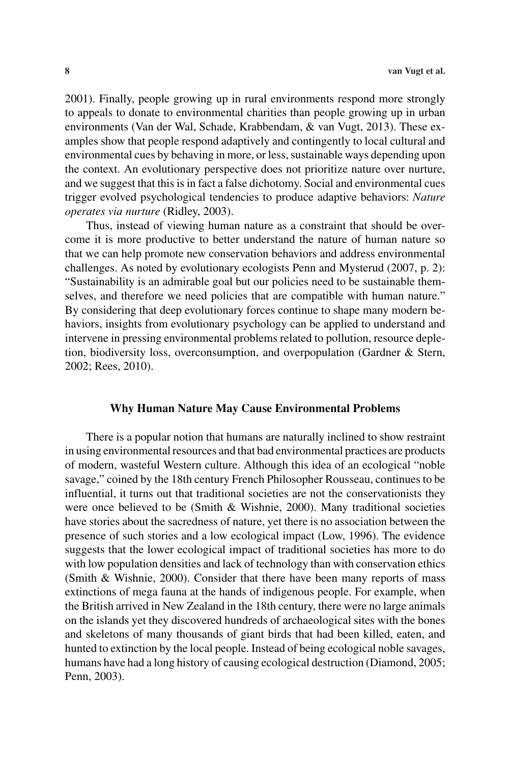2001). Finally, people growing up in rural environments respond more strongly to appeals to donate to environmental charities than people growing up in urban environments (Van der Wal, Schade, Krabbendam, & van Vugt, 2013). These examples show that people respond adaptively and contingently to local cultural and environmental cues by behaving in more, or less, sustainable ways depending upon the context. An evolutionary perspective does not prioritize nature over nurture, and we suggest that this is in fact a false dichotomy. Social and environmental cues trigger evolved psychological tendencies to produce adaptive behaviors: *Nature operates via nurture* (Ridley, 2003).

Thus, instead of viewing human nature as a constraint that should be overcome it is more productive to better understand the nature of human nature so that we can help promote new conservation behaviors and address environmental challenges. As noted by evolutionary ecologists Penn and Mysterud (2007, p. 2): "Sustainability is an admirable goal but our policies need to be sustainable themselves, and therefore we need policies that are compatible with human nature." By considering that deep evolutionary forces continue to shape many modern behaviors, insights from evolutionary psychology can be applied to understand and intervene in pressing environmental problems related to pollution, resource depletion, biodiversity loss, overconsumption, and overpopulation (Gardner & Stern, 2002; Rees, 2010).

## **Why Human Nature May Cause Environmental Problems**

There is a popular notion that humans are naturally inclined to show restraint in using environmental resources and that bad environmental practices are products of modern, wasteful Western culture. Although this idea of an ecological "noble savage," coined by the 18th century French Philosopher Rousseau, continues to be influential, it turns out that traditional societies are not the conservationists they were once believed to be (Smith & Wishnie, 2000). Many traditional societies have stories about the sacredness of nature, yet there is no association between the presence of such stories and a low ecological impact (Low, 1996). The evidence suggests that the lower ecological impact of traditional societies has more to do with low population densities and lack of technology than with conservation ethics (Smith & Wishnie, 2000). Consider that there have been many reports of mass extinctions of mega fauna at the hands of indigenous people. For example, when the British arrived in New Zealand in the 18th century, there were no large animals on the islands yet they discovered hundreds of archaeological sites with the bones and skeletons of many thousands of giant birds that had been killed, eaten, and hunted to extinction by the local people. Instead of being ecological noble savages, humans have had a long history of causing ecological destruction (Diamond, 2005; Penn, 2003).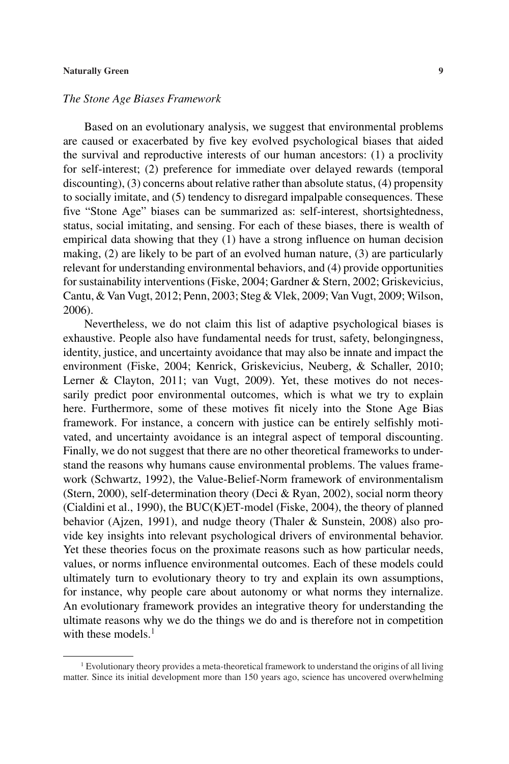## *The Stone Age Biases Framework*

Based on an evolutionary analysis, we suggest that environmental problems are caused or exacerbated by five key evolved psychological biases that aided the survival and reproductive interests of our human ancestors: (1) a proclivity for self-interest; (2) preference for immediate over delayed rewards (temporal discounting), (3) concerns about relative rather than absolute status, (4) propensity to socially imitate, and (5) tendency to disregard impalpable consequences. These five "Stone Age" biases can be summarized as: self-interest, shortsightedness, status, social imitating, and sensing. For each of these biases, there is wealth of empirical data showing that they (1) have a strong influence on human decision making, (2) are likely to be part of an evolved human nature, (3) are particularly relevant for understanding environmental behaviors, and (4) provide opportunities for sustainability interventions (Fiske, 2004; Gardner & Stern, 2002; Griskevicius, Cantu, & Van Vugt, 2012; Penn, 2003; Steg & Vlek, 2009; Van Vugt, 2009; Wilson, 2006).

Nevertheless, we do not claim this list of adaptive psychological biases is exhaustive. People also have fundamental needs for trust, safety, belongingness, identity, justice, and uncertainty avoidance that may also be innate and impact the environment (Fiske, 2004; Kenrick, Griskevicius, Neuberg, & Schaller, 2010; Lerner & Clayton, 2011; van Vugt, 2009). Yet, these motives do not necessarily predict poor environmental outcomes, which is what we try to explain here. Furthermore, some of these motives fit nicely into the Stone Age Bias framework. For instance, a concern with justice can be entirely selfishly motivated, and uncertainty avoidance is an integral aspect of temporal discounting. Finally, we do not suggest that there are no other theoretical frameworks to understand the reasons why humans cause environmental problems. The values framework (Schwartz, 1992), the Value-Belief-Norm framework of environmentalism (Stern, 2000), self-determination theory (Deci & Ryan, 2002), social norm theory (Cialdini et al., 1990), the BUC(K)ET-model (Fiske, 2004), the theory of planned behavior (Ajzen, 1991), and nudge theory (Thaler & Sunstein, 2008) also provide key insights into relevant psychological drivers of environmental behavior. Yet these theories focus on the proximate reasons such as how particular needs, values, or norms influence environmental outcomes. Each of these models could ultimately turn to evolutionary theory to try and explain its own assumptions, for instance, why people care about autonomy or what norms they internalize. An evolutionary framework provides an integrative theory for understanding the ultimate reasons why we do the things we do and is therefore not in competition with these models. $<sup>1</sup>$ </sup>

 $<sup>1</sup>$  Evolutionary theory provides a meta-theoretical framework to understand the origins of all living</sup> matter. Since its initial development more than 150 years ago, science has uncovered overwhelming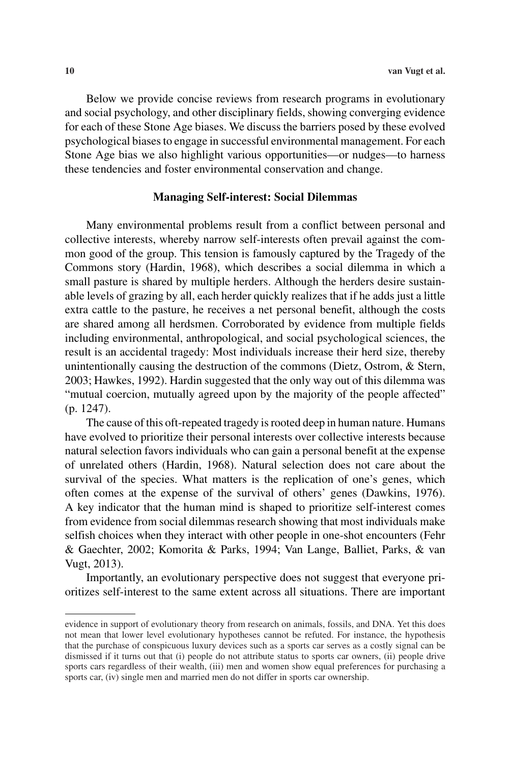Below we provide concise reviews from research programs in evolutionary and social psychology, and other disciplinary fields, showing converging evidence for each of these Stone Age biases. We discuss the barriers posed by these evolved psychological biases to engage in successful environmental management. For each Stone Age bias we also highlight various opportunities—or nudges—to harness these tendencies and foster environmental conservation and change.

## **Managing Self-interest: Social Dilemmas**

Many environmental problems result from a conflict between personal and collective interests, whereby narrow self-interests often prevail against the common good of the group. This tension is famously captured by the Tragedy of the Commons story (Hardin, 1968), which describes a social dilemma in which a small pasture is shared by multiple herders. Although the herders desire sustainable levels of grazing by all, each herder quickly realizes that if he adds just a little extra cattle to the pasture, he receives a net personal benefit, although the costs are shared among all herdsmen. Corroborated by evidence from multiple fields including environmental, anthropological, and social psychological sciences, the result is an accidental tragedy: Most individuals increase their herd size, thereby unintentionally causing the destruction of the commons (Dietz, Ostrom, & Stern, 2003; Hawkes, 1992). Hardin suggested that the only way out of this dilemma was "mutual coercion, mutually agreed upon by the majority of the people affected" (p. 1247).

The cause of this oft-repeated tragedy is rooted deep in human nature. Humans have evolved to prioritize their personal interests over collective interests because natural selection favors individuals who can gain a personal benefit at the expense of unrelated others (Hardin, 1968). Natural selection does not care about the survival of the species. What matters is the replication of one's genes, which often comes at the expense of the survival of others' genes (Dawkins, 1976). A key indicator that the human mind is shaped to prioritize self-interest comes from evidence from social dilemmas research showing that most individuals make selfish choices when they interact with other people in one-shot encounters (Fehr & Gaechter, 2002; Komorita & Parks, 1994; Van Lange, Balliet, Parks, & van Vugt, 2013).

Importantly, an evolutionary perspective does not suggest that everyone prioritizes self-interest to the same extent across all situations. There are important

evidence in support of evolutionary theory from research on animals, fossils, and DNA. Yet this does not mean that lower level evolutionary hypotheses cannot be refuted. For instance, the hypothesis that the purchase of conspicuous luxury devices such as a sports car serves as a costly signal can be dismissed if it turns out that (i) people do not attribute status to sports car owners, (ii) people drive sports cars regardless of their wealth, (iii) men and women show equal preferences for purchasing a sports car, (iv) single men and married men do not differ in sports car ownership.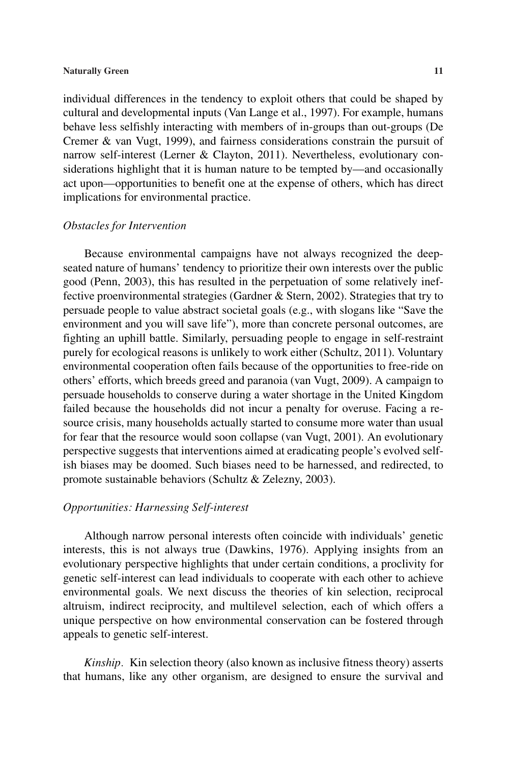individual differences in the tendency to exploit others that could be shaped by cultural and developmental inputs (Van Lange et al., 1997). For example, humans behave less selfishly interacting with members of in-groups than out-groups (De Cremer & van Vugt, 1999), and fairness considerations constrain the pursuit of narrow self-interest (Lerner & Clayton, 2011). Nevertheless, evolutionary considerations highlight that it is human nature to be tempted by—and occasionally act upon—opportunities to benefit one at the expense of others, which has direct implications for environmental practice.

## *Obstacles for Intervention*

Because environmental campaigns have not always recognized the deepseated nature of humans' tendency to prioritize their own interests over the public good (Penn, 2003), this has resulted in the perpetuation of some relatively ineffective proenvironmental strategies (Gardner & Stern, 2002). Strategies that try to persuade people to value abstract societal goals (e.g., with slogans like "Save the environment and you will save life"), more than concrete personal outcomes, are fighting an uphill battle. Similarly, persuading people to engage in self-restraint purely for ecological reasons is unlikely to work either (Schultz, 2011). Voluntary environmental cooperation often fails because of the opportunities to free-ride on others' efforts, which breeds greed and paranoia (van Vugt, 2009). A campaign to persuade households to conserve during a water shortage in the United Kingdom failed because the households did not incur a penalty for overuse. Facing a resource crisis, many households actually started to consume more water than usual for fear that the resource would soon collapse (van Vugt, 2001). An evolutionary perspective suggests that interventions aimed at eradicating people's evolved selfish biases may be doomed. Such biases need to be harnessed, and redirected, to promote sustainable behaviors (Schultz & Zelezny, 2003).

# *Opportunities: Harnessing Self-interest*

Although narrow personal interests often coincide with individuals' genetic interests, this is not always true (Dawkins, 1976). Applying insights from an evolutionary perspective highlights that under certain conditions, a proclivity for genetic self-interest can lead individuals to cooperate with each other to achieve environmental goals. We next discuss the theories of kin selection, reciprocal altruism, indirect reciprocity, and multilevel selection, each of which offers a unique perspective on how environmental conservation can be fostered through appeals to genetic self-interest.

*Kinship.* Kin selection theory (also known as inclusive fitness theory) asserts that humans, like any other organism, are designed to ensure the survival and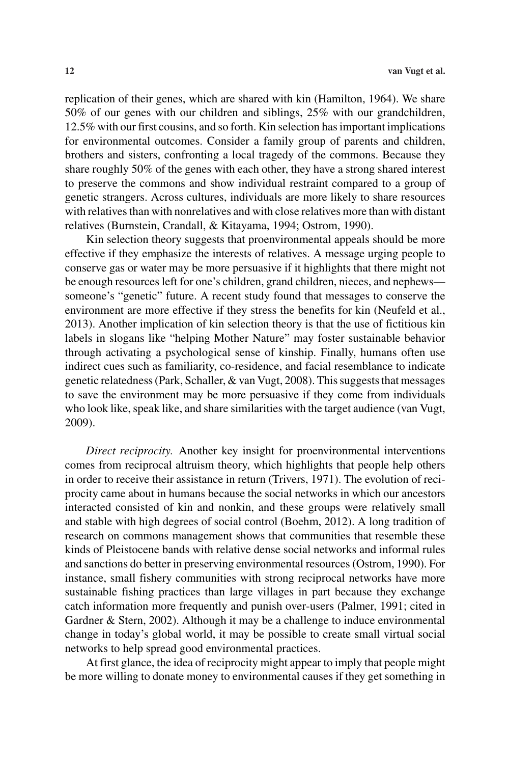replication of their genes, which are shared with kin (Hamilton, 1964). We share 50% of our genes with our children and siblings, 25% with our grandchildren, 12.5% with our first cousins, and so forth. Kin selection has important implications for environmental outcomes. Consider a family group of parents and children, brothers and sisters, confronting a local tragedy of the commons. Because they share roughly 50% of the genes with each other, they have a strong shared interest to preserve the commons and show individual restraint compared to a group of genetic strangers. Across cultures, individuals are more likely to share resources with relatives than with nonrelatives and with close relatives more than with distant relatives (Burnstein, Crandall, & Kitayama, 1994; Ostrom, 1990).

Kin selection theory suggests that proenvironmental appeals should be more effective if they emphasize the interests of relatives. A message urging people to conserve gas or water may be more persuasive if it highlights that there might not be enough resources left for one's children, grand children, nieces, and nephews someone's "genetic" future. A recent study found that messages to conserve the environment are more effective if they stress the benefits for kin (Neufeld et al., 2013). Another implication of kin selection theory is that the use of fictitious kin labels in slogans like "helping Mother Nature" may foster sustainable behavior through activating a psychological sense of kinship. Finally, humans often use indirect cues such as familiarity, co-residence, and facial resemblance to indicate genetic relatedness (Park, Schaller, & van Vugt, 2008). This suggests that messages to save the environment may be more persuasive if they come from individuals who look like, speak like, and share similarities with the target audience (van Vugt, 2009).

*Direct reciprocity.* Another key insight for proenvironmental interventions comes from reciprocal altruism theory, which highlights that people help others in order to receive their assistance in return (Trivers, 1971). The evolution of reciprocity came about in humans because the social networks in which our ancestors interacted consisted of kin and nonkin, and these groups were relatively small and stable with high degrees of social control (Boehm, 2012). A long tradition of research on commons management shows that communities that resemble these kinds of Pleistocene bands with relative dense social networks and informal rules and sanctions do better in preserving environmental resources (Ostrom, 1990). For instance, small fishery communities with strong reciprocal networks have more sustainable fishing practices than large villages in part because they exchange catch information more frequently and punish over-users (Palmer, 1991; cited in Gardner & Stern, 2002). Although it may be a challenge to induce environmental change in today's global world, it may be possible to create small virtual social networks to help spread good environmental practices.

At first glance, the idea of reciprocity might appear to imply that people might be more willing to donate money to environmental causes if they get something in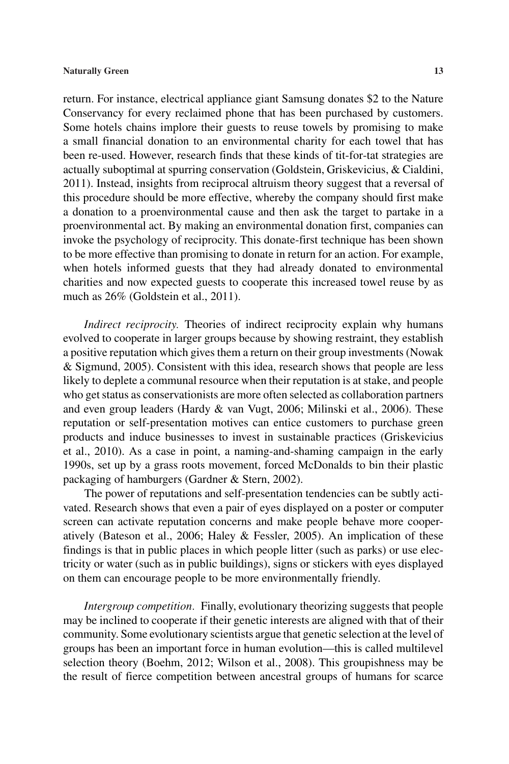return. For instance, electrical appliance giant Samsung donates \$2 to the Nature Conservancy for every reclaimed phone that has been purchased by customers. Some hotels chains implore their guests to reuse towels by promising to make a small financial donation to an environmental charity for each towel that has been re-used. However, research finds that these kinds of tit-for-tat strategies are actually suboptimal at spurring conservation (Goldstein, Griskevicius, & Cialdini, 2011). Instead, insights from reciprocal altruism theory suggest that a reversal of this procedure should be more effective, whereby the company should first make a donation to a proenvironmental cause and then ask the target to partake in a proenvironmental act. By making an environmental donation first, companies can invoke the psychology of reciprocity. This donate-first technique has been shown to be more effective than promising to donate in return for an action. For example, when hotels informed guests that they had already donated to environmental charities and now expected guests to cooperate this increased towel reuse by as much as 26% (Goldstein et al., 2011).

*Indirect reciprocity.* Theories of indirect reciprocity explain why humans evolved to cooperate in larger groups because by showing restraint, they establish a positive reputation which gives them a return on their group investments (Nowak & Sigmund, 2005). Consistent with this idea, research shows that people are less likely to deplete a communal resource when their reputation is at stake, and people who get status as conservationists are more often selected as collaboration partners and even group leaders (Hardy & van Vugt, 2006; Milinski et al., 2006). These reputation or self-presentation motives can entice customers to purchase green products and induce businesses to invest in sustainable practices (Griskevicius et al., 2010). As a case in point, a naming-and-shaming campaign in the early 1990s, set up by a grass roots movement, forced McDonalds to bin their plastic packaging of hamburgers (Gardner & Stern, 2002).

The power of reputations and self-presentation tendencies can be subtly activated. Research shows that even a pair of eyes displayed on a poster or computer screen can activate reputation concerns and make people behave more cooperatively (Bateson et al., 2006; Haley & Fessler, 2005). An implication of these findings is that in public places in which people litter (such as parks) or use electricity or water (such as in public buildings), signs or stickers with eyes displayed on them can encourage people to be more environmentally friendly.

*Intergroup competition.* Finally, evolutionary theorizing suggests that people may be inclined to cooperate if their genetic interests are aligned with that of their community. Some evolutionary scientists argue that genetic selection at the level of groups has been an important force in human evolution—this is called multilevel selection theory (Boehm, 2012; Wilson et al., 2008). This groupishness may be the result of fierce competition between ancestral groups of humans for scarce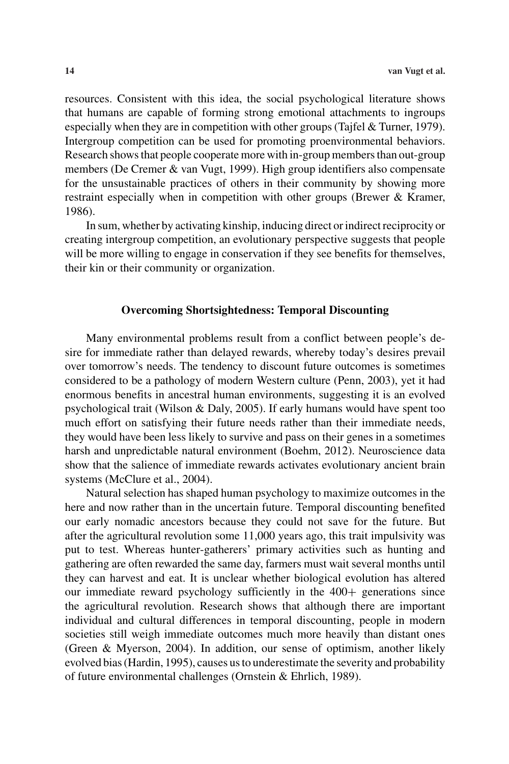resources. Consistent with this idea, the social psychological literature shows that humans are capable of forming strong emotional attachments to ingroups especially when they are in competition with other groups (Tajfel  $&$  Turner, 1979). Intergroup competition can be used for promoting proenvironmental behaviors. Research shows that people cooperate more with in-group members than out-group members (De Cremer & van Vugt, 1999). High group identifiers also compensate for the unsustainable practices of others in their community by showing more restraint especially when in competition with other groups (Brewer & Kramer, 1986).

In sum, whether by activating kinship, inducing direct or indirect reciprocity or creating intergroup competition, an evolutionary perspective suggests that people will be more willing to engage in conservation if they see benefits for themselves, their kin or their community or organization.

# **Overcoming Shortsightedness: Temporal Discounting**

Many environmental problems result from a conflict between people's desire for immediate rather than delayed rewards, whereby today's desires prevail over tomorrow's needs. The tendency to discount future outcomes is sometimes considered to be a pathology of modern Western culture (Penn, 2003), yet it had enormous benefits in ancestral human environments, suggesting it is an evolved psychological trait (Wilson & Daly, 2005). If early humans would have spent too much effort on satisfying their future needs rather than their immediate needs, they would have been less likely to survive and pass on their genes in a sometimes harsh and unpredictable natural environment (Boehm, 2012). Neuroscience data show that the salience of immediate rewards activates evolutionary ancient brain systems (McClure et al., 2004).

Natural selection has shaped human psychology to maximize outcomes in the here and now rather than in the uncertain future. Temporal discounting benefited our early nomadic ancestors because they could not save for the future. But after the agricultural revolution some 11,000 years ago, this trait impulsivity was put to test. Whereas hunter-gatherers' primary activities such as hunting and gathering are often rewarded the same day, farmers must wait several months until they can harvest and eat. It is unclear whether biological evolution has altered our immediate reward psychology sufficiently in the 400+ generations since the agricultural revolution. Research shows that although there are important individual and cultural differences in temporal discounting, people in modern societies still weigh immediate outcomes much more heavily than distant ones (Green & Myerson, 2004). In addition, our sense of optimism, another likely evolved bias (Hardin, 1995), causes us to underestimate the severity and probability of future environmental challenges (Ornstein & Ehrlich, 1989).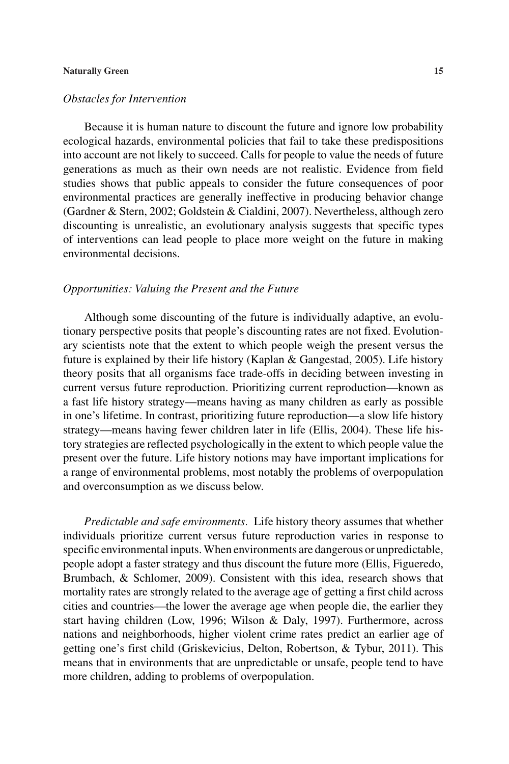# *Obstacles for Intervention*

Because it is human nature to discount the future and ignore low probability ecological hazards, environmental policies that fail to take these predispositions into account are not likely to succeed. Calls for people to value the needs of future generations as much as their own needs are not realistic. Evidence from field studies shows that public appeals to consider the future consequences of poor environmental practices are generally ineffective in producing behavior change (Gardner & Stern, 2002; Goldstein & Cialdini, 2007). Nevertheless, although zero discounting is unrealistic, an evolutionary analysis suggests that specific types of interventions can lead people to place more weight on the future in making environmental decisions.

## *Opportunities: Valuing the Present and the Future*

Although some discounting of the future is individually adaptive, an evolutionary perspective posits that people's discounting rates are not fixed. Evolutionary scientists note that the extent to which people weigh the present versus the future is explained by their life history (Kaplan & Gangestad, 2005). Life history theory posits that all organisms face trade-offs in deciding between investing in current versus future reproduction. Prioritizing current reproduction—known as a fast life history strategy—means having as many children as early as possible in one's lifetime. In contrast, prioritizing future reproduction—a slow life history strategy—means having fewer children later in life (Ellis, 2004). These life history strategies are reflected psychologically in the extent to which people value the present over the future. Life history notions may have important implications for a range of environmental problems, most notably the problems of overpopulation and overconsumption as we discuss below.

*Predictable and safe environments.* Life history theory assumes that whether individuals prioritize current versus future reproduction varies in response to specific environmental inputs. When environments are dangerous or unpredictable, people adopt a faster strategy and thus discount the future more (Ellis, Figueredo, Brumbach, & Schlomer, 2009). Consistent with this idea, research shows that mortality rates are strongly related to the average age of getting a first child across cities and countries—the lower the average age when people die, the earlier they start having children (Low, 1996; Wilson & Daly, 1997). Furthermore, across nations and neighborhoods, higher violent crime rates predict an earlier age of getting one's first child (Griskevicius, Delton, Robertson, & Tybur, 2011). This means that in environments that are unpredictable or unsafe, people tend to have more children, adding to problems of overpopulation.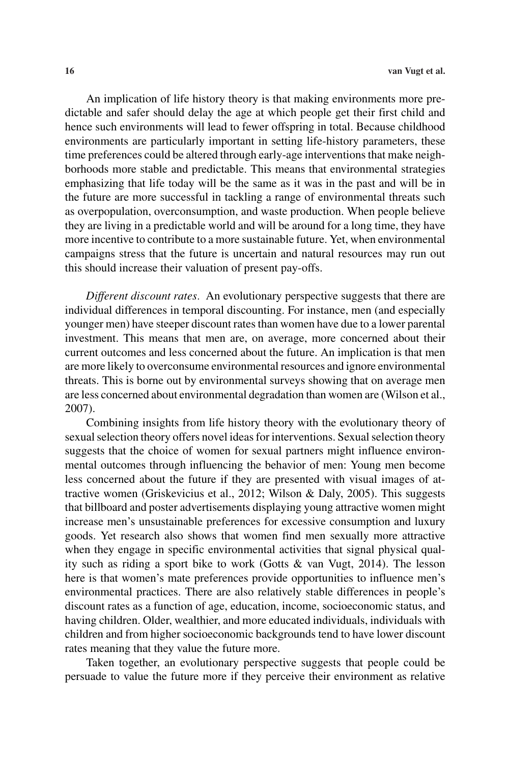An implication of life history theory is that making environments more predictable and safer should delay the age at which people get their first child and hence such environments will lead to fewer offspring in total. Because childhood environments are particularly important in setting life-history parameters, these time preferences could be altered through early-age interventions that make neighborhoods more stable and predictable. This means that environmental strategies emphasizing that life today will be the same as it was in the past and will be in the future are more successful in tackling a range of environmental threats such as overpopulation, overconsumption, and waste production. When people believe they are living in a predictable world and will be around for a long time, they have more incentive to contribute to a more sustainable future. Yet, when environmental campaigns stress that the future is uncertain and natural resources may run out this should increase their valuation of present pay-offs.

*Different discount rates.* An evolutionary perspective suggests that there are individual differences in temporal discounting. For instance, men (and especially younger men) have steeper discount rates than women have due to a lower parental investment. This means that men are, on average, more concerned about their current outcomes and less concerned about the future. An implication is that men are more likely to overconsume environmental resources and ignore environmental threats. This is borne out by environmental surveys showing that on average men are less concerned about environmental degradation than women are (Wilson et al., 2007).

Combining insights from life history theory with the evolutionary theory of sexual selection theory offers novel ideas for interventions. Sexual selection theory suggests that the choice of women for sexual partners might influence environmental outcomes through influencing the behavior of men: Young men become less concerned about the future if they are presented with visual images of attractive women (Griskevicius et al., 2012; Wilson & Daly, 2005). This suggests that billboard and poster advertisements displaying young attractive women might increase men's unsustainable preferences for excessive consumption and luxury goods. Yet research also shows that women find men sexually more attractive when they engage in specific environmental activities that signal physical quality such as riding a sport bike to work (Gotts & van Vugt, 2014). The lesson here is that women's mate preferences provide opportunities to influence men's environmental practices. There are also relatively stable differences in people's discount rates as a function of age, education, income, socioeconomic status, and having children. Older, wealthier, and more educated individuals, individuals with children and from higher socioeconomic backgrounds tend to have lower discount rates meaning that they value the future more.

Taken together, an evolutionary perspective suggests that people could be persuade to value the future more if they perceive their environment as relative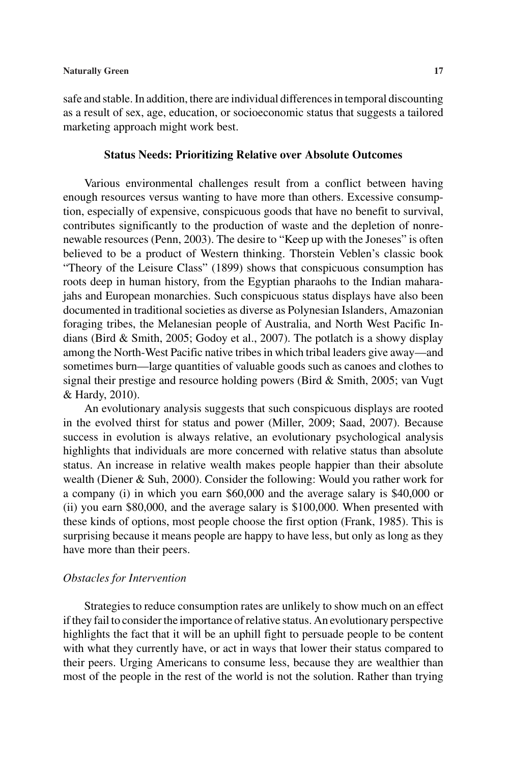safe and stable. In addition, there are individual differences in temporal discounting as a result of sex, age, education, or socioeconomic status that suggests a tailored marketing approach might work best.

### **Status Needs: Prioritizing Relative over Absolute Outcomes**

Various environmental challenges result from a conflict between having enough resources versus wanting to have more than others. Excessive consumption, especially of expensive, conspicuous goods that have no benefit to survival, contributes significantly to the production of waste and the depletion of nonrenewable resources (Penn, 2003). The desire to "Keep up with the Joneses" is often believed to be a product of Western thinking. Thorstein Veblen's classic book "Theory of the Leisure Class" (1899) shows that conspicuous consumption has roots deep in human history, from the Egyptian pharaohs to the Indian maharajahs and European monarchies. Such conspicuous status displays have also been documented in traditional societies as diverse as Polynesian Islanders, Amazonian foraging tribes, the Melanesian people of Australia, and North West Pacific Indians (Bird & Smith, 2005; Godoy et al., 2007). The potlatch is a showy display among the North-West Pacific native tribes in which tribal leaders give away—and sometimes burn—large quantities of valuable goods such as canoes and clothes to signal their prestige and resource holding powers (Bird & Smith, 2005; van Vugt & Hardy, 2010).

An evolutionary analysis suggests that such conspicuous displays are rooted in the evolved thirst for status and power (Miller, 2009; Saad, 2007). Because success in evolution is always relative, an evolutionary psychological analysis highlights that individuals are more concerned with relative status than absolute status. An increase in relative wealth makes people happier than their absolute wealth (Diener & Suh, 2000). Consider the following: Would you rather work for a company (i) in which you earn \$60,000 and the average salary is \$40,000 or (ii) you earn \$80,000, and the average salary is \$100,000. When presented with these kinds of options, most people choose the first option (Frank, 1985). This is surprising because it means people are happy to have less, but only as long as they have more than their peers.

## *Obstacles for Intervention*

Strategies to reduce consumption rates are unlikely to show much on an effect if they fail to consider the importance of relative status. An evolutionary perspective highlights the fact that it will be an uphill fight to persuade people to be content with what they currently have, or act in ways that lower their status compared to their peers. Urging Americans to consume less, because they are wealthier than most of the people in the rest of the world is not the solution. Rather than trying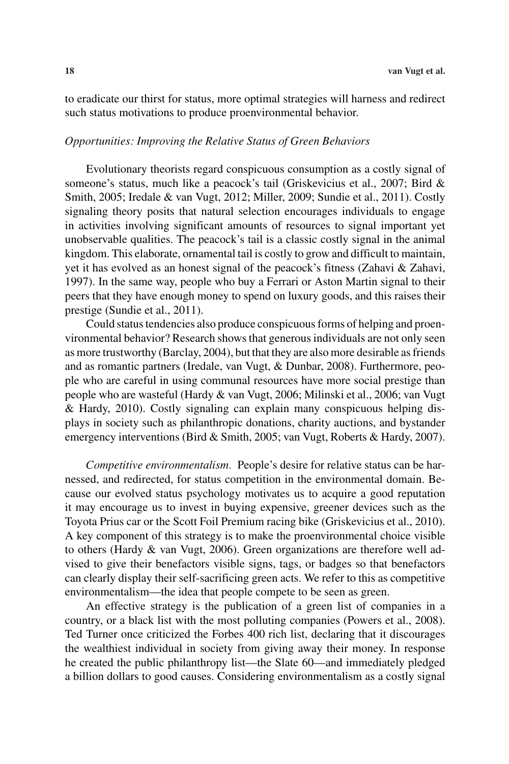to eradicate our thirst for status, more optimal strategies will harness and redirect such status motivations to produce proenvironmental behavior.

## *Opportunities: Improving the Relative Status of Green Behaviors*

Evolutionary theorists regard conspicuous consumption as a costly signal of someone's status, much like a peacock's tail (Griskevicius et al., 2007; Bird & Smith, 2005; Iredale & van Vugt, 2012; Miller, 2009; Sundie et al., 2011). Costly signaling theory posits that natural selection encourages individuals to engage in activities involving significant amounts of resources to signal important yet unobservable qualities. The peacock's tail is a classic costly signal in the animal kingdom. This elaborate, ornamental tail is costly to grow and difficult to maintain, yet it has evolved as an honest signal of the peacock's fitness (Zahavi & Zahavi, 1997). In the same way, people who buy a Ferrari or Aston Martin signal to their peers that they have enough money to spend on luxury goods, and this raises their prestige (Sundie et al., 2011).

Could status tendencies also produce conspicuous forms of helping and proenvironmental behavior? Research shows that generous individuals are not only seen as more trustworthy (Barclay, 2004), but that they are also more desirable as friends and as romantic partners (Iredale, van Vugt, & Dunbar, 2008). Furthermore, people who are careful in using communal resources have more social prestige than people who are wasteful (Hardy & van Vugt, 2006; Milinski et al., 2006; van Vugt & Hardy, 2010). Costly signaling can explain many conspicuous helping displays in society such as philanthropic donations, charity auctions, and bystander emergency interventions (Bird & Smith, 2005; van Vugt, Roberts & Hardy, 2007).

*Competitive environmentalism.* People's desire for relative status can be harnessed, and redirected, for status competition in the environmental domain. Because our evolved status psychology motivates us to acquire a good reputation it may encourage us to invest in buying expensive, greener devices such as the Toyota Prius car or the Scott Foil Premium racing bike (Griskevicius et al., 2010). A key component of this strategy is to make the proenvironmental choice visible to others (Hardy & van Vugt, 2006). Green organizations are therefore well advised to give their benefactors visible signs, tags, or badges so that benefactors can clearly display their self-sacrificing green acts. We refer to this as competitive environmentalism—the idea that people compete to be seen as green.

An effective strategy is the publication of a green list of companies in a country, or a black list with the most polluting companies (Powers et al., 2008). Ted Turner once criticized the Forbes 400 rich list, declaring that it discourages the wealthiest individual in society from giving away their money. In response he created the public philanthropy list—the Slate 60—and immediately pledged a billion dollars to good causes. Considering environmentalism as a costly signal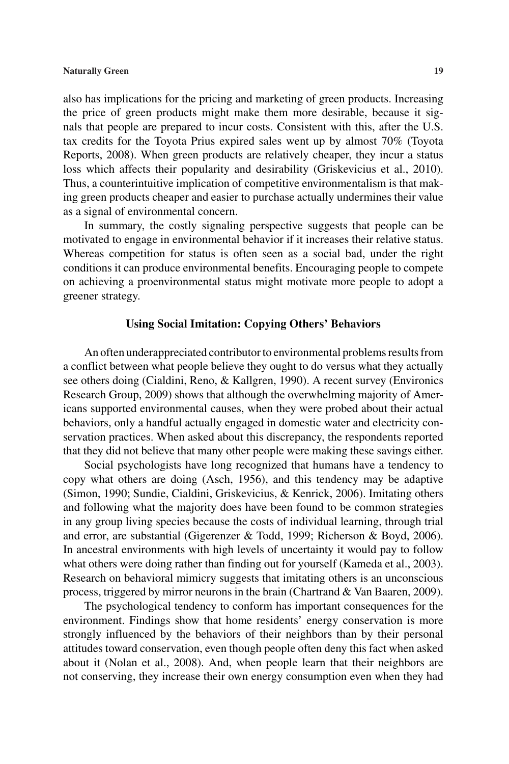also has implications for the pricing and marketing of green products. Increasing the price of green products might make them more desirable, because it signals that people are prepared to incur costs. Consistent with this, after the U.S. tax credits for the Toyota Prius expired sales went up by almost 70% (Toyota Reports, 2008). When green products are relatively cheaper, they incur a status loss which affects their popularity and desirability (Griskevicius et al., 2010). Thus, a counterintuitive implication of competitive environmentalism is that making green products cheaper and easier to purchase actually undermines their value as a signal of environmental concern.

In summary, the costly signaling perspective suggests that people can be motivated to engage in environmental behavior if it increases their relative status. Whereas competition for status is often seen as a social bad, under the right conditions it can produce environmental benefits. Encouraging people to compete on achieving a proenvironmental status might motivate more people to adopt a greener strategy.

## **Using Social Imitation: Copying Others' Behaviors**

An often underappreciated contributor to environmental problems results from a conflict between what people believe they ought to do versus what they actually see others doing (Cialdini, Reno, & Kallgren, 1990). A recent survey (Environics Research Group, 2009) shows that although the overwhelming majority of Americans supported environmental causes, when they were probed about their actual behaviors, only a handful actually engaged in domestic water and electricity conservation practices. When asked about this discrepancy, the respondents reported that they did not believe that many other people were making these savings either.

Social psychologists have long recognized that humans have a tendency to copy what others are doing (Asch, 1956), and this tendency may be adaptive (Simon, 1990; Sundie, Cialdini, Griskevicius, & Kenrick, 2006). Imitating others and following what the majority does have been found to be common strategies in any group living species because the costs of individual learning, through trial and error, are substantial (Gigerenzer & Todd, 1999; Richerson & Boyd, 2006). In ancestral environments with high levels of uncertainty it would pay to follow what others were doing rather than finding out for yourself (Kameda et al., 2003). Research on behavioral mimicry suggests that imitating others is an unconscious process, triggered by mirror neurons in the brain (Chartrand & Van Baaren, 2009).

The psychological tendency to conform has important consequences for the environment. Findings show that home residents' energy conservation is more strongly influenced by the behaviors of their neighbors than by their personal attitudes toward conservation, even though people often deny this fact when asked about it (Nolan et al., 2008). And, when people learn that their neighbors are not conserving, they increase their own energy consumption even when they had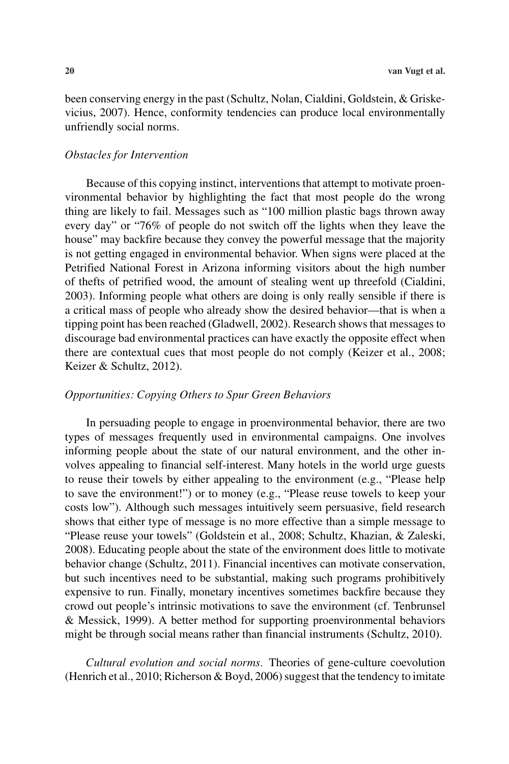been conserving energy in the past (Schultz, Nolan, Cialdini, Goldstein, & Griskevicius, 2007). Hence, conformity tendencies can produce local environmentally unfriendly social norms.

#### *Obstacles for Intervention*

Because of this copying instinct, interventions that attempt to motivate proenvironmental behavior by highlighting the fact that most people do the wrong thing are likely to fail. Messages such as "100 million plastic bags thrown away every day" or "76% of people do not switch off the lights when they leave the house" may backfire because they convey the powerful message that the majority is not getting engaged in environmental behavior. When signs were placed at the Petrified National Forest in Arizona informing visitors about the high number of thefts of petrified wood, the amount of stealing went up threefold (Cialdini, 2003). Informing people what others are doing is only really sensible if there is a critical mass of people who already show the desired behavior—that is when a tipping point has been reached (Gladwell, 2002). Research shows that messages to discourage bad environmental practices can have exactly the opposite effect when there are contextual cues that most people do not comply (Keizer et al., 2008; Keizer & Schultz, 2012).

## *Opportunities: Copying Others to Spur Green Behaviors*

In persuading people to engage in proenvironmental behavior, there are two types of messages frequently used in environmental campaigns. One involves informing people about the state of our natural environment, and the other involves appealing to financial self-interest. Many hotels in the world urge guests to reuse their towels by either appealing to the environment (e.g., "Please help to save the environment!") or to money (e.g., "Please reuse towels to keep your costs low"). Although such messages intuitively seem persuasive, field research shows that either type of message is no more effective than a simple message to "Please reuse your towels" (Goldstein et al., 2008; Schultz, Khazian, & Zaleski, 2008). Educating people about the state of the environment does little to motivate behavior change (Schultz, 2011). Financial incentives can motivate conservation, but such incentives need to be substantial, making such programs prohibitively expensive to run. Finally, monetary incentives sometimes backfire because they crowd out people's intrinsic motivations to save the environment (cf. Tenbrunsel & Messick, 1999). A better method for supporting proenvironmental behaviors might be through social means rather than financial instruments (Schultz, 2010).

*Cultural evolution and social norms.* Theories of gene-culture coevolution (Henrich et al., 2010; Richerson & Boyd, 2006) suggest that the tendency to imitate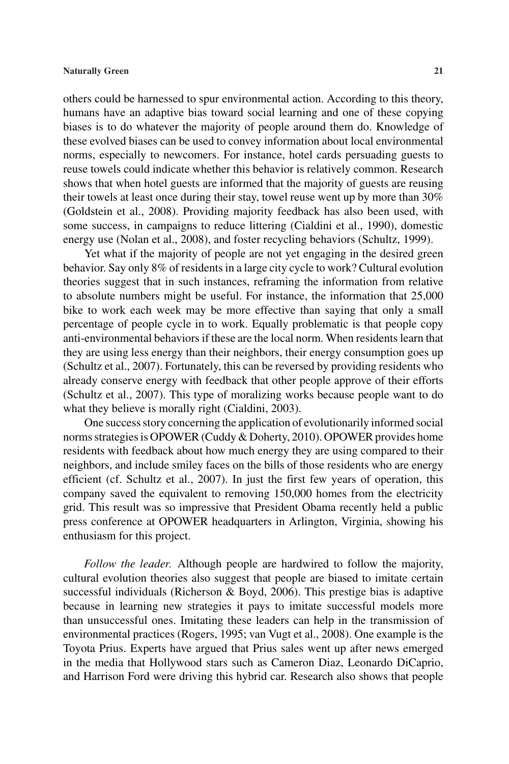others could be harnessed to spur environmental action. According to this theory, humans have an adaptive bias toward social learning and one of these copying biases is to do whatever the majority of people around them do. Knowledge of these evolved biases can be used to convey information about local environmental norms, especially to newcomers. For instance, hotel cards persuading guests to reuse towels could indicate whether this behavior is relatively common. Research shows that when hotel guests are informed that the majority of guests are reusing their towels at least once during their stay, towel reuse went up by more than 30% (Goldstein et al., 2008). Providing majority feedback has also been used, with some success, in campaigns to reduce littering (Cialdini et al., 1990), domestic energy use (Nolan et al., 2008), and foster recycling behaviors (Schultz, 1999).

Yet what if the majority of people are not yet engaging in the desired green behavior. Say only 8% of residents in a large city cycle to work? Cultural evolution theories suggest that in such instances, reframing the information from relative to absolute numbers might be useful. For instance, the information that 25,000 bike to work each week may be more effective than saying that only a small percentage of people cycle in to work. Equally problematic is that people copy anti-environmental behaviors if these are the local norm. When residents learn that they are using less energy than their neighbors, their energy consumption goes up (Schultz et al., 2007). Fortunately, this can be reversed by providing residents who already conserve energy with feedback that other people approve of their efforts (Schultz et al., 2007). This type of moralizing works because people want to do what they believe is morally right (Cialdini, 2003).

One success story concerning the application of evolutionarily informed social norms strategies is OPOWER (Cuddy & Doherty, 2010). OPOWER provides home residents with feedback about how much energy they are using compared to their neighbors, and include smiley faces on the bills of those residents who are energy efficient (cf. Schultz et al., 2007). In just the first few years of operation, this company saved the equivalent to removing 150,000 homes from the electricity grid. This result was so impressive that President Obama recently held a public press conference at OPOWER headquarters in Arlington, Virginia, showing his enthusiasm for this project.

*Follow the leader.* Although people are hardwired to follow the majority, cultural evolution theories also suggest that people are biased to imitate certain successful individuals (Richerson & Boyd, 2006). This prestige bias is adaptive because in learning new strategies it pays to imitate successful models more than unsuccessful ones. Imitating these leaders can help in the transmission of environmental practices (Rogers, 1995; van Vugt et al., 2008). One example is the Toyota Prius. Experts have argued that Prius sales went up after news emerged in the media that Hollywood stars such as Cameron Diaz, Leonardo DiCaprio, and Harrison Ford were driving this hybrid car. Research also shows that people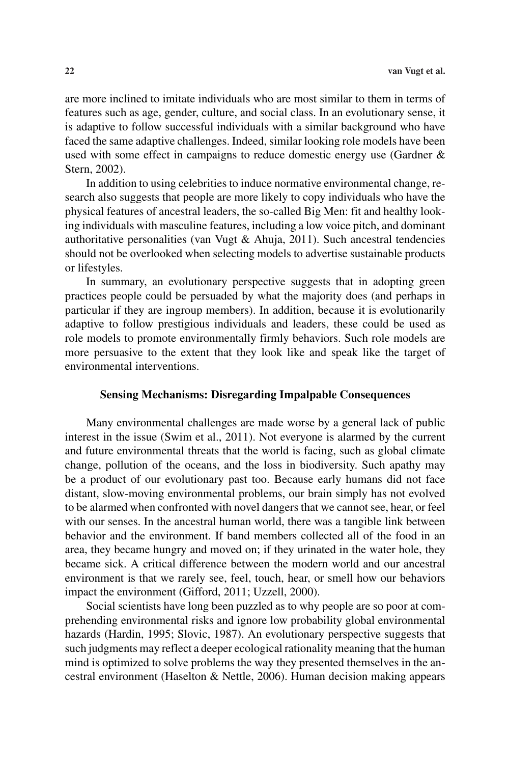are more inclined to imitate individuals who are most similar to them in terms of features such as age, gender, culture, and social class. In an evolutionary sense, it is adaptive to follow successful individuals with a similar background who have faced the same adaptive challenges. Indeed, similar looking role models have been used with some effect in campaigns to reduce domestic energy use (Gardner & Stern, 2002).

In addition to using celebrities to induce normative environmental change, research also suggests that people are more likely to copy individuals who have the physical features of ancestral leaders, the so-called Big Men: fit and healthy looking individuals with masculine features, including a low voice pitch, and dominant authoritative personalities (van Vugt & Ahuja, 2011). Such ancestral tendencies should not be overlooked when selecting models to advertise sustainable products or lifestyles.

In summary, an evolutionary perspective suggests that in adopting green practices people could be persuaded by what the majority does (and perhaps in particular if they are ingroup members). In addition, because it is evolutionarily adaptive to follow prestigious individuals and leaders, these could be used as role models to promote environmentally firmly behaviors. Such role models are more persuasive to the extent that they look like and speak like the target of environmental interventions.

#### **Sensing Mechanisms: Disregarding Impalpable Consequences**

Many environmental challenges are made worse by a general lack of public interest in the issue (Swim et al., 2011). Not everyone is alarmed by the current and future environmental threats that the world is facing, such as global climate change, pollution of the oceans, and the loss in biodiversity. Such apathy may be a product of our evolutionary past too. Because early humans did not face distant, slow-moving environmental problems, our brain simply has not evolved to be alarmed when confronted with novel dangers that we cannot see, hear, or feel with our senses. In the ancestral human world, there was a tangible link between behavior and the environment. If band members collected all of the food in an area, they became hungry and moved on; if they urinated in the water hole, they became sick. A critical difference between the modern world and our ancestral environment is that we rarely see, feel, touch, hear, or smell how our behaviors impact the environment (Gifford, 2011; Uzzell, 2000).

Social scientists have long been puzzled as to why people are so poor at comprehending environmental risks and ignore low probability global environmental hazards (Hardin, 1995; Slovic, 1987). An evolutionary perspective suggests that such judgments may reflect a deeper ecological rationality meaning that the human mind is optimized to solve problems the way they presented themselves in the ancestral environment (Haselton & Nettle, 2006). Human decision making appears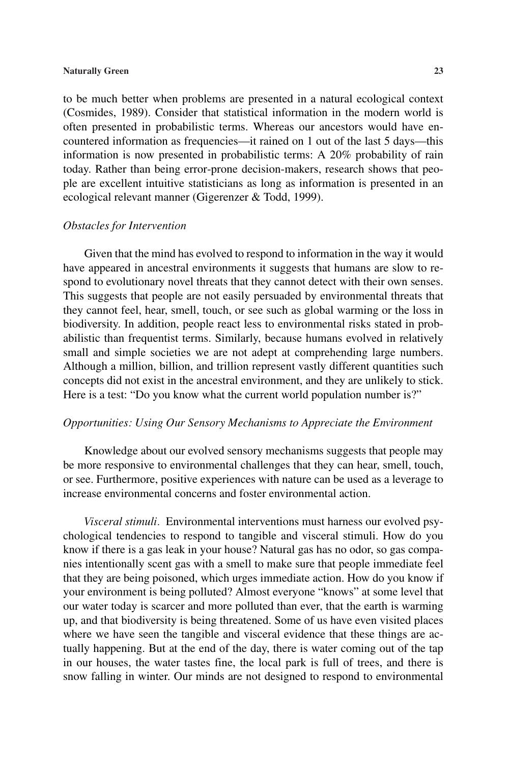to be much better when problems are presented in a natural ecological context (Cosmides, 1989). Consider that statistical information in the modern world is often presented in probabilistic terms. Whereas our ancestors would have encountered information as frequencies—it rained on 1 out of the last 5 days—this information is now presented in probabilistic terms: A 20% probability of rain today. Rather than being error-prone decision-makers, research shows that people are excellent intuitive statisticians as long as information is presented in an ecological relevant manner (Gigerenzer & Todd, 1999).

## *Obstacles for Intervention*

Given that the mind has evolved to respond to information in the way it would have appeared in ancestral environments it suggests that humans are slow to respond to evolutionary novel threats that they cannot detect with their own senses. This suggests that people are not easily persuaded by environmental threats that they cannot feel, hear, smell, touch, or see such as global warming or the loss in biodiversity. In addition, people react less to environmental risks stated in probabilistic than frequentist terms. Similarly, because humans evolved in relatively small and simple societies we are not adept at comprehending large numbers. Although a million, billion, and trillion represent vastly different quantities such concepts did not exist in the ancestral environment, and they are unlikely to stick. Here is a test: "Do you know what the current world population number is?"

#### *Opportunities: Using Our Sensory Mechanisms to Appreciate the Environment*

Knowledge about our evolved sensory mechanisms suggests that people may be more responsive to environmental challenges that they can hear, smell, touch, or see. Furthermore, positive experiences with nature can be used as a leverage to increase environmental concerns and foster environmental action.

*Visceral stimuli.* Environmental interventions must harness our evolved psychological tendencies to respond to tangible and visceral stimuli. How do you know if there is a gas leak in your house? Natural gas has no odor, so gas companies intentionally scent gas with a smell to make sure that people immediate feel that they are being poisoned, which urges immediate action. How do you know if your environment is being polluted? Almost everyone "knows" at some level that our water today is scarcer and more polluted than ever, that the earth is warming up, and that biodiversity is being threatened. Some of us have even visited places where we have seen the tangible and visceral evidence that these things are actually happening. But at the end of the day, there is water coming out of the tap in our houses, the water tastes fine, the local park is full of trees, and there is snow falling in winter. Our minds are not designed to respond to environmental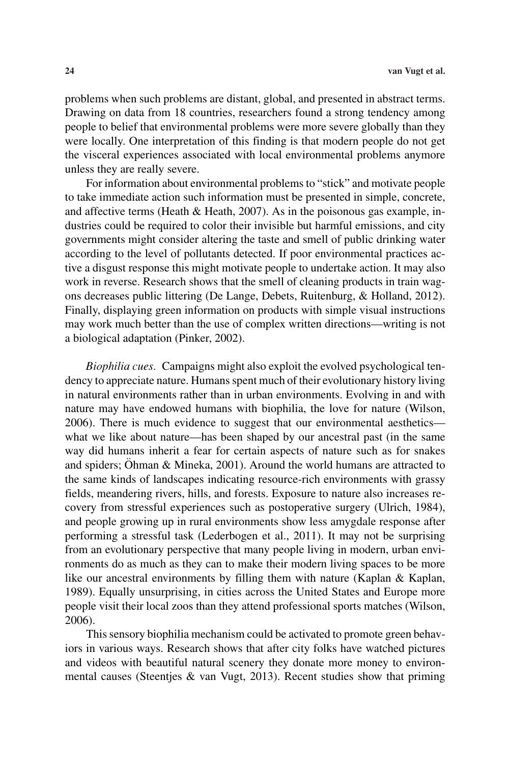problems when such problems are distant, global, and presented in abstract terms. Drawing on data from 18 countries, researchers found a strong tendency among people to belief that environmental problems were more severe globally than they were locally. One interpretation of this finding is that modern people do not get the visceral experiences associated with local environmental problems anymore unless they are really severe.

For information about environmental problems to "stick" and motivate people to take immediate action such information must be presented in simple, concrete, and affective terms (Heath  $\&$  Heath, 2007). As in the poisonous gas example, industries could be required to color their invisible but harmful emissions, and city governments might consider altering the taste and smell of public drinking water according to the level of pollutants detected. If poor environmental practices active a disgust response this might motivate people to undertake action. It may also work in reverse. Research shows that the smell of cleaning products in train wagons decreases public littering (De Lange, Debets, Ruitenburg, & Holland, 2012). Finally, displaying green information on products with simple visual instructions may work much better than the use of complex written directions—writing is not a biological adaptation (Pinker, 2002).

*Biophilia cues.* Campaigns might also exploit the evolved psychological tendency to appreciate nature. Humans spent much of their evolutionary history living in natural environments rather than in urban environments. Evolving in and with nature may have endowed humans with biophilia, the love for nature (Wilson, 2006). There is much evidence to suggest that our environmental aesthetics what we like about nature—has been shaped by our ancestral past (in the same way did humans inherit a fear for certain aspects of nature such as for snakes and spiders;  $\ddot{\text{O}}$ hman & Mineka, 2001). Around the world humans are attracted to the same kinds of landscapes indicating resource-rich environments with grassy fields, meandering rivers, hills, and forests. Exposure to nature also increases recovery from stressful experiences such as postoperative surgery (Ulrich, 1984), and people growing up in rural environments show less amygdale response after performing a stressful task (Lederbogen et al., 2011). It may not be surprising from an evolutionary perspective that many people living in modern, urban environments do as much as they can to make their modern living spaces to be more like our ancestral environments by filling them with nature (Kaplan & Kaplan, 1989). Equally unsurprising, in cities across the United States and Europe more people visit their local zoos than they attend professional sports matches (Wilson, 2006).

This sensory biophilia mechanism could be activated to promote green behaviors in various ways. Research shows that after city folks have watched pictures and videos with beautiful natural scenery they donate more money to environmental causes (Steentjes & van Vugt, 2013). Recent studies show that priming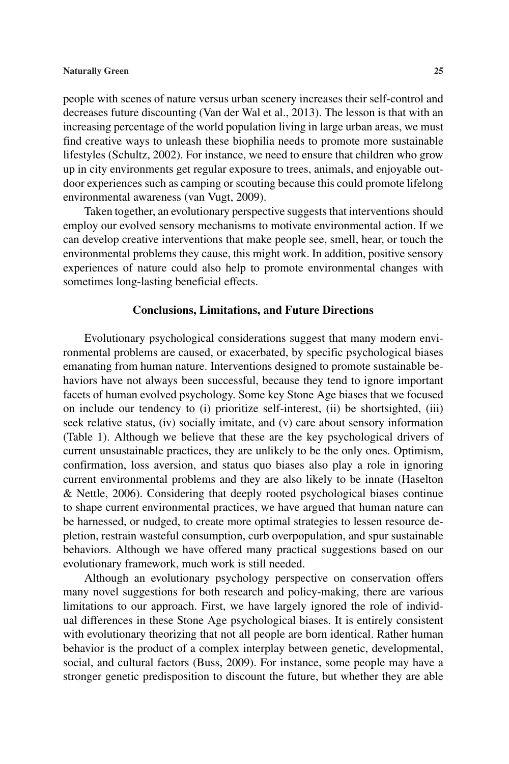people with scenes of nature versus urban scenery increases their self-control and decreases future discounting (Van der Wal et al., 2013). The lesson is that with an increasing percentage of the world population living in large urban areas, we must find creative ways to unleash these biophilia needs to promote more sustainable lifestyles (Schultz, 2002). For instance, we need to ensure that children who grow up in city environments get regular exposure to trees, animals, and enjoyable outdoor experiences such as camping or scouting because this could promote lifelong environmental awareness (van Vugt, 2009).

Taken together, an evolutionary perspective suggests that interventions should employ our evolved sensory mechanisms to motivate environmental action. If we can develop creative interventions that make people see, smell, hear, or touch the environmental problems they cause, this might work. In addition, positive sensory experiences of nature could also help to promote environmental changes with sometimes long-lasting beneficial effects.

## **Conclusions, Limitations, and Future Directions**

Evolutionary psychological considerations suggest that many modern environmental problems are caused, or exacerbated, by specific psychological biases emanating from human nature. Interventions designed to promote sustainable behaviors have not always been successful, because they tend to ignore important facets of human evolved psychology. Some key Stone Age biases that we focused on include our tendency to (i) prioritize self-interest, (ii) be shortsighted, (iii) seek relative status, (iv) socially imitate, and (v) care about sensory information (Table 1). Although we believe that these are the key psychological drivers of current unsustainable practices, they are unlikely to be the only ones. Optimism, confirmation, loss aversion, and status quo biases also play a role in ignoring current environmental problems and they are also likely to be innate (Haselton & Nettle, 2006). Considering that deeply rooted psychological biases continue to shape current environmental practices, we have argued that human nature can be harnessed, or nudged, to create more optimal strategies to lessen resource depletion, restrain wasteful consumption, curb overpopulation, and spur sustainable behaviors. Although we have offered many practical suggestions based on our evolutionary framework, much work is still needed.

Although an evolutionary psychology perspective on conservation offers many novel suggestions for both research and policy-making, there are various limitations to our approach. First, we have largely ignored the role of individual differences in these Stone Age psychological biases. It is entirely consistent with evolutionary theorizing that not all people are born identical. Rather human behavior is the product of a complex interplay between genetic, developmental, social, and cultural factors (Buss, 2009). For instance, some people may have a stronger genetic predisposition to discount the future, but whether they are able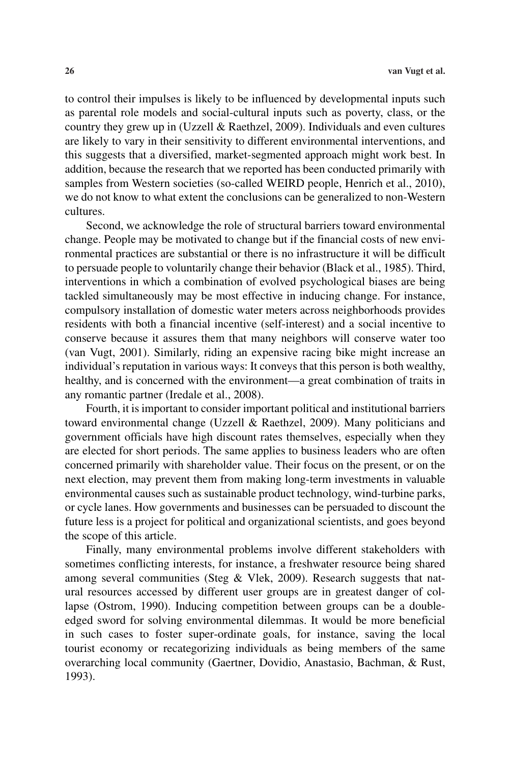to control their impulses is likely to be influenced by developmental inputs such as parental role models and social-cultural inputs such as poverty, class, or the country they grew up in (Uzzell & Raethzel, 2009). Individuals and even cultures are likely to vary in their sensitivity to different environmental interventions, and this suggests that a diversified, market-segmented approach might work best. In addition, because the research that we reported has been conducted primarily with samples from Western societies (so-called WEIRD people, Henrich et al., 2010), we do not know to what extent the conclusions can be generalized to non-Western cultures.

Second, we acknowledge the role of structural barriers toward environmental change. People may be motivated to change but if the financial costs of new environmental practices are substantial or there is no infrastructure it will be difficult to persuade people to voluntarily change their behavior (Black et al., 1985). Third, interventions in which a combination of evolved psychological biases are being tackled simultaneously may be most effective in inducing change. For instance, compulsory installation of domestic water meters across neighborhoods provides residents with both a financial incentive (self-interest) and a social incentive to conserve because it assures them that many neighbors will conserve water too (van Vugt, 2001). Similarly, riding an expensive racing bike might increase an individual's reputation in various ways: It conveys that this person is both wealthy, healthy, and is concerned with the environment—a great combination of traits in any romantic partner (Iredale et al., 2008).

Fourth, it is important to consider important political and institutional barriers toward environmental change (Uzzell & Raethzel, 2009). Many politicians and government officials have high discount rates themselves, especially when they are elected for short periods. The same applies to business leaders who are often concerned primarily with shareholder value. Their focus on the present, or on the next election, may prevent them from making long-term investments in valuable environmental causes such as sustainable product technology, wind-turbine parks, or cycle lanes. How governments and businesses can be persuaded to discount the future less is a project for political and organizational scientists, and goes beyond the scope of this article.

Finally, many environmental problems involve different stakeholders with sometimes conflicting interests, for instance, a freshwater resource being shared among several communities (Steg & Vlek, 2009). Research suggests that natural resources accessed by different user groups are in greatest danger of collapse (Ostrom, 1990). Inducing competition between groups can be a doubleedged sword for solving environmental dilemmas. It would be more beneficial in such cases to foster super-ordinate goals, for instance, saving the local tourist economy or recategorizing individuals as being members of the same overarching local community (Gaertner, Dovidio, Anastasio, Bachman, & Rust, 1993).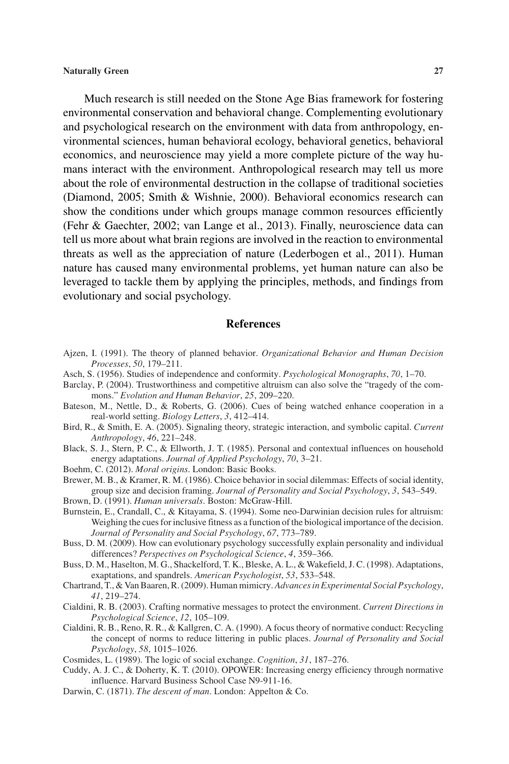Much research is still needed on the Stone Age Bias framework for fostering environmental conservation and behavioral change. Complementing evolutionary and psychological research on the environment with data from anthropology, environmental sciences, human behavioral ecology, behavioral genetics, behavioral economics, and neuroscience may yield a more complete picture of the way humans interact with the environment. Anthropological research may tell us more about the role of environmental destruction in the collapse of traditional societies (Diamond, 2005; Smith & Wishnie, 2000). Behavioral economics research can show the conditions under which groups manage common resources efficiently (Fehr & Gaechter, 2002; van Lange et al., 2013). Finally, neuroscience data can tell us more about what brain regions are involved in the reaction to environmental threats as well as the appreciation of nature (Lederbogen et al., 2011). Human nature has caused many environmental problems, yet human nature can also be leveraged to tackle them by applying the principles, methods, and findings from evolutionary and social psychology.

## **References**

- Ajzen, I. (1991). The theory of planned behavior. *Organizational Behavior and Human Decision Processes*, *50*, 179–211.
- Asch, S. (1956). Studies of independence and conformity. *Psychological Monographs*, *70*, 1–70.
- Barclay, P. (2004). Trustworthiness and competitive altruism can also solve the "tragedy of the commons." *Evolution and Human Behavior*, *25*, 209–220.
- Bateson, M., Nettle, D., & Roberts, G. (2006). Cues of being watched enhance cooperation in a real-world setting. *Biology Letters*, *3*, 412–414.
- Bird, R., & Smith, E. A. (2005). Signaling theory, strategic interaction, and symbolic capital. *Current Anthropology*, *46*, 221–248.
- Black, S. J., Stern, P. C., & Ellworth, J. T. (1985). Personal and contextual influences on household energy adaptations. *Journal of Applied Psychology*, *70*, 3–21.
- Boehm, C. (2012). *Moral origins*. London: Basic Books.
- Brewer, M. B., & Kramer, R. M. (1986). Choice behavior in social dilemmas: Effects of social identity, group size and decision framing. *Journal of Personality and Social Psychology*, *3*, 543–549.
- Brown, D. (1991). *Human universals*. Boston: McGraw-Hill.
- Burnstein, E., Crandall, C., & Kitayama, S. (1994). Some neo-Darwinian decision rules for altruism: Weighing the cues for inclusive fitness as a function of the biological importance of the decision. *Journal of Personality and Social Psychology*, *67*, 773–789.
- Buss, D. M. (2009). How can evolutionary psychology successfully explain personality and individual differences? *Perspectives on Psychological Science*, *4*, 359–366.
- Buss, D. M., Haselton, M. G., Shackelford, T. K., Bleske, A. L., & Wakefield, J. C. (1998). Adaptations, exaptations, and spandrels. *American Psychologist*, *53*, 533–548.
- Chartrand, T., & Van Baaren, R. (2009). Human mimicry. *Advances in Experimental Social Psychology*, *41*, 219–274.
- Cialdini, R. B. (2003). Crafting normative messages to protect the environment. *Current Directions in Psychological Science*, *12*, 105–109.
- Cialdini, R. B., Reno, R. R., & Kallgren, C. A. (1990). A focus theory of normative conduct: Recycling the concept of norms to reduce littering in public places. *Journal of Personality and Social Psychology*, *58*, 1015–1026.
- Cosmides, L. (1989). The logic of social exchange. *Cognition*, *31*, 187–276.
- Cuddy, A. J. C., & Doherty, K. T. (2010). OPOWER: Increasing energy efficiency through normative influence. Harvard Business School Case N9-911-16.
- Darwin, C. (1871). *The descent of man*. London: Appelton & Co.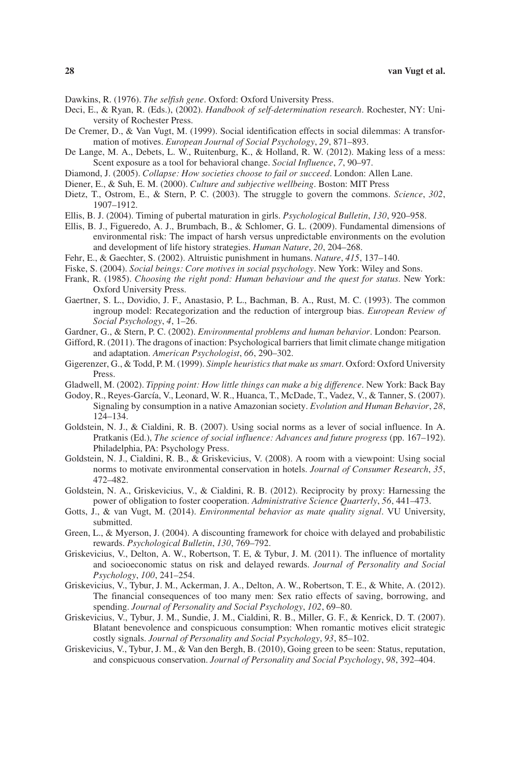- Dawkins, R. (1976). *The selfish gene*. Oxford: Oxford University Press.
- Deci, E., & Ryan, R. (Eds.), (2002). *Handbook of self-determination research*. Rochester, NY: University of Rochester Press.
- De Cremer, D., & Van Vugt, M. (1999). Social identification effects in social dilemmas: A transformation of motives. *European Journal of Social Psychology*, *29*, 871–893.
- De Lange, M. A., Debets, L. W., Ruitenburg, K., & Holland, R. W. (2012). Making less of a mess: Scent exposure as a tool for behavioral change. *Social Influence*, *7*, 90–97.
- Diamond, J. (2005). *Collapse: How societies choose to fail or succeed*. London: Allen Lane.
- Diener, E., & Suh, E. M. (2000). *Culture and subjective wellbeing*. Boston: MIT Press
- Dietz, T., Ostrom, E., & Stern, P. C. (2003). The struggle to govern the commons. *Science*, *302*, 1907–1912.
- Ellis, B. J. (2004). Timing of pubertal maturation in girls. *Psychological Bulletin*, *130*, 920–958.
- Ellis, B. J., Figueredo, A. J., Brumbach, B., & Schlomer, G. L. (2009). Fundamental dimensions of environmental risk: The impact of harsh versus unpredictable environments on the evolution and development of life history strategies. *Human Nature*, *20*, 204–268.
- Fehr, E., & Gaechter, S. (2002). Altruistic punishment in humans. *Nature*, *415*, 137–140.
- Fiske, S. (2004). *Social beings: Core motives in social psychology*. New York: Wiley and Sons.
- Frank, R. (1985). *Choosing the right pond: Human behaviour and the quest for status*. New York: Oxford University Press.
- Gaertner, S. L., Dovidio, J. F., Anastasio, P. L., Bachman, B. A., Rust, M. C. (1993). The common ingroup model: Recategorization and the reduction of intergroup bias. *European Review of Social Psychology*, *4*, 1–26.
- Gardner, G., & Stern, P. C. (2002). *Environmental problems and human behavior*. London: Pearson.
- Gifford, R. (2011). The dragons of inaction: Psychological barriers that limit climate change mitigation and adaptation. *American Psychologist*, *66*, 290–302.
- Gigerenzer, G., & Todd, P. M. (1999). *Simple heuristics that make us smart*. Oxford: Oxford University Press.
- Gladwell, M. (2002). *Tipping point: How little things can make a big difference*. New York: Back Bay
- Godoy, R., Reyes-García, V., Leonard, W. R., Huanca, T., McDade, T., Vadez, V., & Tanner, S. (2007). Signaling by consumption in a native Amazonian society. *Evolution and Human Behavior*, *28*, 124–134.
- Goldstein, N. J., & Cialdini, R. B. (2007). Using social norms as a lever of social influence. In A. Pratkanis (Ed.), *The science of social influence: Advances and future progress* (pp. 167–192). Philadelphia, PA: Psychology Press.
- Goldstein, N. J., Cialdini, R. B., & Griskevicius, V. (2008). A room with a viewpoint: Using social norms to motivate environmental conservation in hotels. *Journal of Consumer Research*, *35*, 472–482.
- Goldstein, N. A., Griskevicius, V., & Cialdini, R. B. (2012). Reciprocity by proxy: Harnessing the power of obligation to foster cooperation. *Administrative Science Quarterly*, *56*, 441–473.
- Gotts, J., & van Vugt, M. (2014). *Environmental behavior as mate quality signal*. VU University, submitted.
- Green, L., & Myerson, J. (2004). A discounting framework for choice with delayed and probabilistic rewards. *Psychological Bulletin*, *130*, 769–792.
- Griskevicius, V., Delton, A. W., Robertson, T. E, & Tybur, J. M. (2011). The influence of mortality and socioeconomic status on risk and delayed rewards. *Journal of Personality and Social Psychology*, *100*, 241–254.
- Griskevicius, V., Tybur, J. M., Ackerman, J. A., Delton, A. W., Robertson, T. E., & White, A. (2012). The financial consequences of too many men: Sex ratio effects of saving, borrowing, and spending. *Journal of Personality and Social Psychology*, *102*, 69–80.
- Griskevicius, V., Tybur, J. M., Sundie, J. M., Cialdini, R. B., Miller, G. F., & Kenrick, D. T. (2007). Blatant benevolence and conspicuous consumption: When romantic motives elicit strategic costly signals. *Journal of Personality and Social Psychology*, *93*, 85–102.
- Griskevicius, V., Tybur, J. M., & Van den Bergh, B. (2010), Going green to be seen: Status, reputation, and conspicuous conservation. *Journal of Personality and Social Psychology*, *98*, 392–404.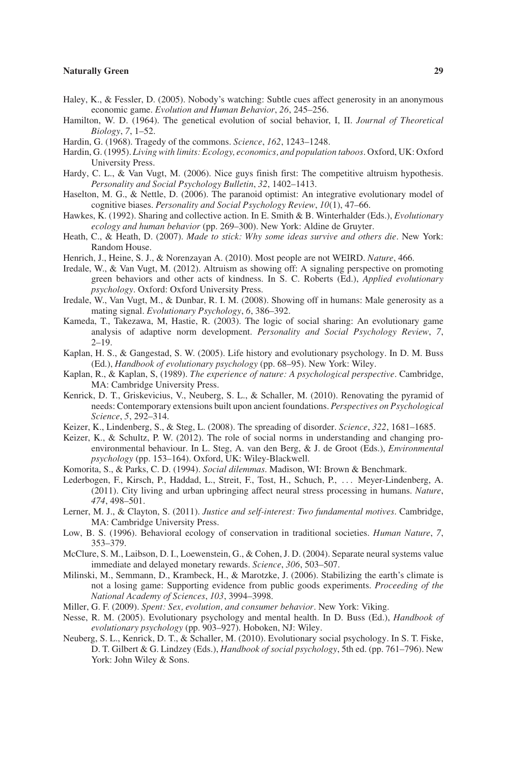- Haley, K., & Fessler, D. (2005). Nobody's watching: Subtle cues affect generosity in an anonymous economic game. *Evolution and Human Behavior*, *26*, 245–256.
- Hamilton, W. D. (1964). The genetical evolution of social behavior, I, II. *Journal of Theoretical Biology*, *7*, 1–52.
- Hardin, G. (1968). Tragedy of the commons. *Science*, *162*, 1243–1248.
- Hardin, G. (1995). *Living with limits: Ecology, economics, and population taboos*. Oxford, UK: Oxford University Press.
- Hardy, C. L., & Van Vugt, M. (2006). Nice guys finish first: The competitive altruism hypothesis. *Personality and Social Psychology Bulletin*, *32*, 1402–1413.
- Haselton, M. G., & Nettle, D. (2006). The paranoid optimist: An integrative evolutionary model of cognitive biases. *Personality and Social Psychology Review*, *10*(1), 47–66.
- Hawkes, K. (1992). Sharing and collective action. In E. Smith & B. Winterhalder (Eds.), *Evolutionary ecology and human behavior* (pp. 269–300). New York: Aldine de Gruyter.
- Heath, C., & Heath, D. (2007). *Made to stick: Why some ideas survive and others die*. New York: Random House.
- Henrich, J., Heine, S. J., & Norenzayan A. (2010). Most people are not WEIRD. *Nature*, 466.
- Iredale, W., & Van Vugt, M. (2012). Altruism as showing off: A signaling perspective on promoting green behaviors and other acts of kindness. In S. C. Roberts (Ed.), *Applied evolutionary psychology*. Oxford: Oxford University Press.
- Iredale, W., Van Vugt, M., & Dunbar, R. I. M. (2008). Showing off in humans: Male generosity as a mating signal. *Evolutionary Psychology*, *6*, 386–392.
- Kameda, T., Takezawa, M, Hastie, R. (2003). The logic of social sharing: An evolutionary game analysis of adaptive norm development. *Personality and Social Psychology Review*, *7*,  $2-19.$
- Kaplan, H. S., & Gangestad, S. W. (2005). Life history and evolutionary psychology. In D. M. Buss (Ed.), *Handbook of evolutionary psychology* (pp. 68–95). New York: Wiley.
- Kaplan, R., & Kaplan, S, (1989). *The experience of nature: A psychological perspective*. Cambridge, MA: Cambridge University Press.
- Kenrick, D. T., Griskevicius, V., Neuberg, S. L., & Schaller, M. (2010). Renovating the pyramid of needs: Contemporary extensions built upon ancient foundations. *Perspectives on Psychological Science*, *5*, 292–314.
- Keizer, K., Lindenberg, S., & Steg, L. (2008). The spreading of disorder. *Science*, *322*, 1681–1685.
- Keizer, K., & Schultz, P. W. (2012). The role of social norms in understanding and changing proenvironmental behaviour. In L. Steg, A. van den Berg, & J. de Groot (Eds.), *Environmental psychology* (pp. 153–164). Oxford, UK: Wiley-Blackwell.
- Komorita, S., & Parks, C. D. (1994). *Social dilemmas*. Madison, WI: Brown & Benchmark.
- Lederbogen, F., Kirsch, P., Haddad, L., Streit, F., Tost, H., Schuch, P., ... Meyer-Lindenberg, A. (2011). City living and urban upbringing affect neural stress processing in humans. *Nature*, *474*, 498–501.
- Lerner, M. J., & Clayton, S. (2011). *Justice and self-interest: Two fundamental motives*. Cambridge, MA: Cambridge University Press.
- Low, B. S. (1996). Behavioral ecology of conservation in traditional societies. *Human Nature*, *7*, 353–379.
- McClure, S. M., Laibson, D. I., Loewenstein, G., & Cohen, J. D. (2004). Separate neural systems value immediate and delayed monetary rewards. *Science*, *306*, 503–507.
- Milinski, M., Semmann, D., Krambeck, H., & Marotzke, J. (2006). Stabilizing the earth's climate is not a losing game: Supporting evidence from public goods experiments. *Proceeding of the National Academy of Sciences*, *103*, 3994–3998.
- Miller, G. F. (2009). *Spent: Sex, evolution, and consumer behavior*. New York: Viking.
- Nesse, R. M. (2005). Evolutionary psychology and mental health. In D. Buss (Ed.), *Handbook of evolutionary psychology* (pp. 903–927). Hoboken, NJ: Wiley.
- Neuberg, S. L., Kenrick, D. T., & Schaller, M. (2010). Evolutionary social psychology. In S. T. Fiske, D. T. Gilbert & G. Lindzey (Eds.), *Handbook of social psychology*, 5th ed. (pp. 761–796). New York: John Wiley & Sons.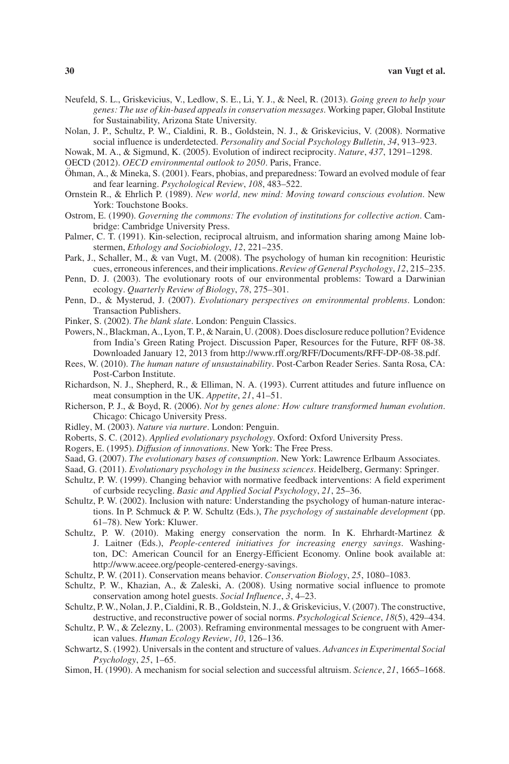- Neufeld, S. L., Griskevicius, V., Ledlow, S. E., Li, Y. J., & Neel, R. (2013). *Going green to help your genes: The use of kin-based appeals in conservation messages*. Working paper, Global Institute for Sustainability, Arizona State University.
- Nolan, J. P., Schultz, P. W., Cialdini, R. B., Goldstein, N. J., & Griskevicius, V. (2008). Normative social influence is underdetected. *Personality and Social Psychology Bulletin*, *34*, 913–923.
- Nowak, M. A., & Sigmund, K. (2005). Evolution of indirect reciprocity. *Nature*, *437*, 1291–1298.
- OECD (2012). *OECD environmental outlook to 2050*. Paris, France.
- Ohman, A., & Mineka, S. (2001). Fears, phobias, and preparedness: Toward an evolved module of fear ¨ and fear learning. *Psychological Review*, *108*, 483–522.
- Ornstein R., & Ehrlich P. (1989). *New world, new mind: Moving toward conscious evolution*. New York: Touchstone Books.
- Ostrom, E. (1990). *Governing the commons: The evolution of institutions for collective action*. Cambridge: Cambridge University Press.
- Palmer, C. T. (1991). Kin-selection, reciprocal altruism, and information sharing among Maine lobstermen, *Ethology and Sociobiology*, *12*, 221–235.
- Park, J., Schaller, M., & van Vugt, M. (2008). The psychology of human kin recognition: Heuristic cues, erroneous inferences, and their implications. *Review of General Psychology*, *12*, 215–235.
- Penn, D. J. (2003). The evolutionary roots of our environmental problems: Toward a Darwinian ecology. *Quarterly Review of Biology*, *78*, 275–301.
- Penn, D., & Mysterud, J. (2007). *Evolutionary perspectives on environmental problems*. London: Transaction Publishers.
- Pinker, S. (2002). *The blank slate*. London: Penguin Classics.
- Powers, N., Blackman, A., Lyon, T. P., & Narain, U. (2008). Does disclosure reduce pollution? Evidence from India's Green Rating Project. Discussion Paper, Resources for the Future, RFF 08-38. Downloaded January 12, 2013 from http://www.rff.org/RFF/Documents/RFF-DP-08-38.pdf.
- Rees, W. (2010). *The human nature of unsustainability*. Post-Carbon Reader Series. Santa Rosa, CA: Post-Carbon Institute.
- Richardson, N. J., Shepherd, R., & Elliman, N. A. (1993). Current attitudes and future influence on meat consumption in the UK. *Appetite*, *21*, 41–51.
- Richerson, P. J., & Boyd, R. (2006). *Not by genes alone: How culture transformed human evolution*. Chicago: Chicago University Press.
- Ridley, M. (2003). *Nature via nurture*. London: Penguin.
- Roberts, S. C. (2012). *Applied evolutionary psychology*. Oxford: Oxford University Press.
- Rogers, E. (1995). *Diffusion of innovations*. New York: The Free Press.
- Saad, G. (2007). *The evolutionary bases of consumption*. New York: Lawrence Erlbaum Associates.
- Saad, G. (2011). *Evolutionary psychology in the business sciences*. Heidelberg, Germany: Springer.
- Schultz, P. W. (1999). Changing behavior with normative feedback interventions: A field experiment of curbside recycling. *Basic and Applied Social Psychology*, *21*, 25–36.
- Schultz, P. W. (2002). Inclusion with nature: Understanding the psychology of human-nature interactions. In P. Schmuck & P. W. Schultz (Eds.), *The psychology of sustainable development* (pp. 61–78). New York: Kluwer.
- Schultz, P. W. (2010). Making energy conservation the norm. In K. Ehrhardt-Martinez & J. Laitner (Eds.), *People-centered initiatives for increasing energy savings*. Washington, DC: American Council for an Energy-Efficient Economy. Online book available at: http://www.aceee.org/people-centered-energy-savings.
- Schultz, P. W. (2011). Conservation means behavior. *Conservation Biology*, *25*, 1080–1083.
- Schultz, P. W., Khazian, A., & Zaleski, A. (2008). Using normative social influence to promote conservation among hotel guests. *Social Influence*, *3*, 4–23.
- Schultz, P. W., Nolan, J. P., Cialdini, R. B., Goldstein, N. J., & Griskevicius, V. (2007). The constructive, destructive, and reconstructive power of social norms. *Psychological Science*, *18*(5), 429–434.
- Schultz, P. W., & Zelezny, L. (2003). Reframing environmental messages to be congruent with American values. *Human Ecology Review*, *10*, 126–136.
- Schwartz, S. (1992). Universals in the content and structure of values. *Advances in Experimental Social Psychology*, *25*, 1–65.
- Simon, H. (1990). A mechanism for social selection and successful altruism. *Science*, *21*, 1665–1668.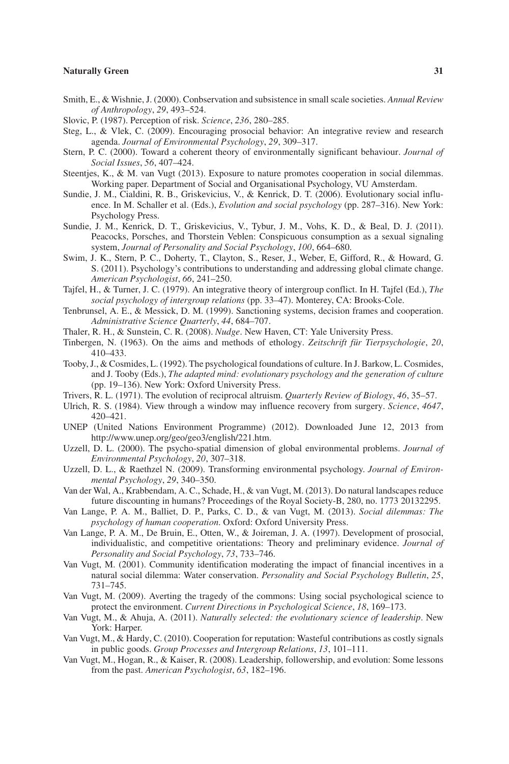- Smith, E., & Wishnie, J. (2000). Conbservation and subsistence in small scale societies. *Annual Review of Anthropology*, *29*, 493–524.
- Slovic, P. (1987). Perception of risk. *Science*, *236*, 280–285.
- Steg, L., & Vlek, C. (2009). Encouraging prosocial behavior: An integrative review and research agenda. *Journal of Environmental Psychology*, *29*, 309–317.
- Stern, P. C. (2000). Toward a coherent theory of environmentally significant behaviour. *Journal of Social Issues*, *56*, 407–424.
- Steentjes, K., & M. van Vugt (2013). Exposure to nature promotes cooperation in social dilemmas. Working paper. Department of Social and Organisational Psychology, VU Amsterdam.
- Sundie, J. M., Cialdini, R. B., Griskevicius, V., & Kenrick, D. T. (2006). Evolutionary social influence. In M. Schaller et al. (Eds.), *Evolution and social psychology* (pp. 287–316). New York: Psychology Press.
- Sundie, J. M., Kenrick, D. T., Griskevicius, V., Tybur, J. M., Vohs, K. D., & Beal, D. J. (2011). Peacocks, Porsches, and Thorstein Veblen: Conspicuous consumption as a sexual signaling system, *Journal of Personality and Social Psychology*, *100*, 664–680.
- Swim, J. K., Stern, P. C., Doherty, T., Clayton, S., Reser, J., Weber, E, Gifford, R., & Howard, G. S. (2011). Psychology's contributions to understanding and addressing global climate change. *American Psychologist*, *66*, 241–250.
- Tajfel, H., & Turner, J. C. (1979). An integrative theory of intergroup conflict. In H. Tajfel (Ed.), *The social psychology of intergroup relations* (pp. 33–47). Monterey, CA: Brooks-Cole.
- Tenbrunsel, A. E., & Messick, D. M. (1999). Sanctioning systems, decision frames and cooperation. *Administrative Science Quarterly*, *44*, 684–707.
- Thaler, R. H., & Sunstein, C. R. (2008). *Nudge*. New Haven, CT: Yale University Press.
- Tinbergen, N. (1963). On the aims and methods of ethology. *Zeitschrift für Tierpsychologie*, 20, 410–433.
- Tooby, J., & Cosmides, L. (1992). The psychological foundations of culture. In J. Barkow, L. Cosmides, and J. Tooby (Eds.), *The adapted mind: evolutionary psychology and the generation of culture* (pp. 19–136). New York: Oxford University Press.
- Trivers, R. L. (1971). The evolution of reciprocal altruism. *Quarterly Review of Biology*, *46*, 35–57.
- Ulrich, R. S. (1984). View through a window may influence recovery from surgery. *Science*, *4647*, 420–421.
- UNEP (United Nations Environment Programme) (2012). Downloaded June 12, 2013 from http://www.unep.org/geo/geo3/english/221.htm.
- Uzzell, D. L. (2000). The psycho-spatial dimension of global environmental problems. *Journal of Environmental Psychology*, *20*, 307–318.
- Uzzell, D. L., & Raethzel N. (2009). Transforming environmental psychology. *Journal of Environmental Psychology*, *29*, 340–350.
- Van der Wal, A., Krabbendam, A. C., Schade, H., & van Vugt, M. (2013). Do natural landscapes reduce future discounting in humans? Proceedings of the Royal Society-B, 280, no. 1773 20132295.
- Van Lange, P. A. M., Balliet, D. P., Parks, C. D., & van Vugt, M. (2013). *Social dilemmas: The psychology of human cooperation*. Oxford: Oxford University Press.
- Van Lange, P. A. M., De Bruin, E., Otten, W., & Joireman, J. A. (1997). Development of prosocial, individualistic, and competitive orientations: Theory and preliminary evidence. *Journal of Personality and Social Psychology*, *73*, 733–746.
- Van Vugt, M. (2001). Community identification moderating the impact of financial incentives in a natural social dilemma: Water conservation. *Personality and Social Psychology Bulletin*, *25*, 731–745.
- Van Vugt, M. (2009). Averting the tragedy of the commons: Using social psychological science to protect the environment. *Current Directions in Psychological Science*, *18*, 169–173.
- Van Vugt, M., & Ahuja, A. (2011). *Naturally selected: the evolutionary science of leadership*. New York: Harper.
- Van Vugt, M., & Hardy, C. (2010). Cooperation for reputation: Wasteful contributions as costly signals in public goods. *Group Processes and Intergroup Relations*, *13*, 101–111.
- Van Vugt, M., Hogan, R., & Kaiser, R. (2008). Leadership, followership, and evolution: Some lessons from the past. *American Psychologist*, *63*, 182–196.